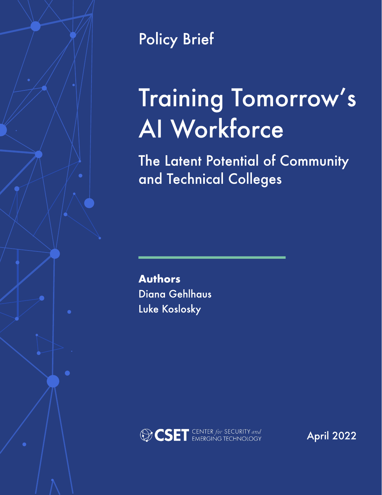

Policy Brief

# Training Tomorrow's AI Workforce

The Latent Potential of Community and Technical Colleges

Authors Diana Gehlhaus Luke Koslosky



April 2022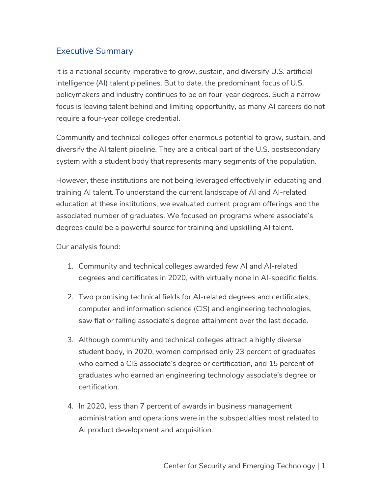## Executive Summary

It is a national security imperative to grow, sustain, and diversify U.S. artificial intelligence (AI) talent pipelines. But to date, the predominant focus of U.S. policymakers and industry continues to be on four-year degrees. Such a narrow focus is leaving talent behind and limiting opportunity, as many AI careers do not require a four-year college credential.

Community and technical colleges offer enormous potential to grow, sustain, and diversify the AI talent pipeline. They are a critical part of the U.S. postsecondary system with a student body that represents many segments of the population.

However, these institutions are not being leveraged effectively in educating and training AI talent. To understand the current landscape of AI and AI-related education at these institutions, we evaluated current program offerings and the associated number of graduates. We focused on programs where associate's degrees could be a powerful source for training and upskilling AI talent.

Our analysis found:

- 1. Community and technical colleges awarded few AI and AI-related degrees and certificates in 2020, with virtually none in AI-specific fields.
- 2. Two promising technical fields for AI-related degrees and certificates, computer and information science (CIS) and engineering technologies, saw flat or falling associate's degree attainment over the last decade.
- 3. Although community and technical colleges attract a highly diverse student body, in 2020, women comprised only 23 percent of graduates who earned a CIS associate's degree or certification, and 15 percent of graduates who earned an engineering technology associate's degree or certification.
- 4. In 2020, less than 7 percent of awards in business management administration and operations were in the subspecialties most related to AI product development and acquisition.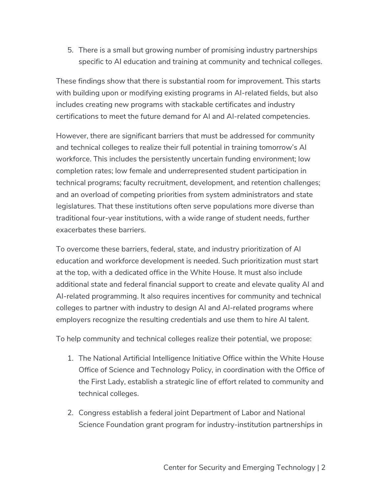5. There is a small but growing number of promising industry partnerships specific to AI education and training at community and technical colleges.

These findings show that there is substantial room for improvement. This starts with building upon or modifying existing programs in AI-related fields, but also includes creating new programs with stackable certificates and industry certifications to meet the future demand for AI and AI-related competencies.

However, there are significant barriers that must be addressed for community and technical colleges to realize their full potential in training tomorrow's AI workforce. This includes the persistently uncertain funding environment; low completion rates; low female and underrepresented student participation in technical programs; faculty recruitment, development, and retention challenges; and an overload of competing priorities from system administrators and state legislatures. That these institutions often serve populations more diverse than traditional four-year institutions, with a wide range of student needs, further exacerbates these barriers.

To overcome these barriers, federal, state, and industry prioritization of AI education and workforce development is needed. Such prioritization must start at the top, with a dedicated office in the White House. It must also include additional state and federal financial support to create and elevate quality AI and AI-related programming. It also requires incentives for community and technical colleges to partner with industry to design AI and AI-related programs where employers recognize the resulting credentials and use them to hire AI talent.

To help community and technical colleges realize their potential, we propose:

- 1. The National Artificial Intelligence Initiative Office within the White House Office of Science and Technology Policy, in coordination with the Office of the First Lady, establish a strategic line of effort related to community and technical colleges.
- 2. Congress establish a federal joint Department of Labor and National Science Foundation grant program for industry-institution partnerships in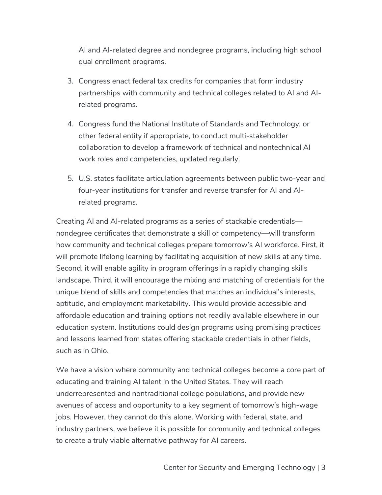AI and AI-related degree and nondegree programs, including high school dual enrollment programs.

- 3. Congress enact federal tax credits for companies that form industry partnerships with community and technical colleges related to AI and AIrelated programs.
- 4. Congress fund the National Institute of Standards and Technology, or other federal entity if appropriate, to conduct multi-stakeholder collaboration to develop a framework of technical and nontechnical AI work roles and competencies, updated regularly.
- 5. U.S. states facilitate articulation agreements between public two-year and four-year institutions for transfer and reverse transfer for AI and AIrelated programs.

Creating AI and AI-related programs as a series of stackable credentials–– nondegree certificates that demonstrate a skill or competency––will transform how community and technical colleges prepare tomorrow's AI workforce. First, it will promote lifelong learning by facilitating acquisition of new skills at any time. Second, it will enable agility in program offerings in a rapidly changing skills landscape. Third, it will encourage the mixing and matching of credentials for the unique blend of skills and competencies that matches an individual's interests, aptitude, and employment marketability. This would provide accessible and affordable education and training options not readily available elsewhere in our education system. Institutions could design programs using promising practices and lessons learned from states offering stackable credentials in other fields, such as in Ohio.

We have a vision where community and technical colleges become a core part of educating and training AI talent in the United States. They will reach underrepresented and nontraditional college populations, and provide new avenues of access and opportunity to a key segment of tomorrow's high-wage jobs. However, they cannot do this alone. Working with federal, state, and industry partners, we believe it is possible for community and technical colleges to create a truly viable alternative pathway for AI careers.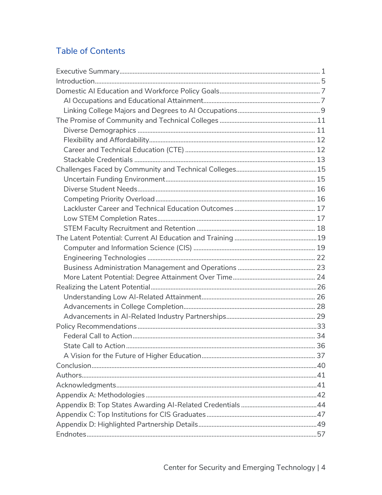# **Table of Contents**

| State Call to Action |  |
|----------------------|--|
|                      |  |
|                      |  |
|                      |  |
|                      |  |
|                      |  |
|                      |  |
|                      |  |
|                      |  |
|                      |  |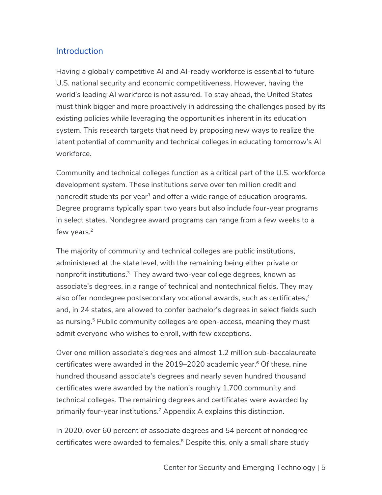## **Introduction**

Having a globally competitive AI and AI-ready workforce is essential to future U.S. national security and economic competitiveness. However, having the world's leading AI workforce is not assured. To stay ahead, the United States must think bigger and more proactively in addressing the challenges posed by its existing policies while leveraging the opportunities inherent in its education system. This research targets that need by proposing new ways to realize the latent potential of community and technical colleges in educating tomorrow's AI workforce.

Community and technical colleges function as a critical part of the U.S. workforce development system. These institutions serve over ten million credit and noncredit students per year<sup>1</sup> and offer a wide range of education programs. Degree programs typically span two years but also include four-year programs in select states. Nondegree award programs can range from a few weeks to a few years.<sup>2</sup>

The majority of community and technical colleges are public institutions, administered at the state level, with the remaining being either private or nonprofit institutions. $^3$  They award two-year college degrees, known as associate's degrees, in a range of technical and nontechnical fields. They may also offer nondegree postsecondary vocational awards, such as certificates,<sup>4</sup> and, in 24 states, are allowed to confer bachelor's degrees in select fields such as nursing.<sup>5</sup> Public community colleges are open-access, meaning they must admit everyone who wishes to enroll, with few exceptions.

Over one million associate's degrees and almost 1.2 million sub-baccalaureate certificates were awarded in the  $2019-2020$  academic year.<sup>6</sup> Of these, nine hundred thousand associate's degrees and nearly seven hundred thousand certificates were awarded by the nation's roughly 1,700 community and technical colleges. The remaining degrees and certificates were awarded by primarily four-year institutions.7 Appendix A explains this distinction.

In 2020, over 60 percent of associate degrees and 54 percent of nondegree certificates were awarded to females.<sup>8</sup> Despite this, only a small share study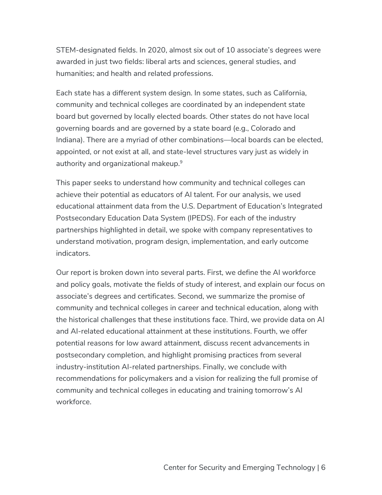STEM-designated fields. In 2020, almost six out of 10 associate's degrees were awarded in just two fields: liberal arts and sciences, general studies, and humanities; and health and related professions.

Each state has a different system design. In some states, such as California, community and technical colleges are coordinated by an independent state board but governed by locally elected boards. Other states do not have local governing boards and are governed by a state board (e.g., Colorado and Indiana). There are a myriad of other combinations––local boards can be elected, appointed, or not exist at all, and state-level structures vary just as widely in authority and organizational makeup.<sup>9</sup>

This paper seeks to understand how community and technical colleges can achieve their potential as educators of AI talent. For our analysis, we used educational attainment data from the U.S. Department of Education's Integrated Postsecondary Education Data System (IPEDS). For each of the industry partnerships highlighted in detail, we spoke with company representatives to understand motivation, program design, implementation, and early outcome indicators.

Our report is broken down into several parts. First, we define the AI workforce and policy goals, motivate the fields of study of interest, and explain our focus on associate's degrees and certificates. Second, we summarize the promise of community and technical colleges in career and technical education, along with the historical challenges that these institutions face. Third, we provide data on AI and AI-related educational attainment at these institutions. Fourth, we offer potential reasons for low award attainment, discuss recent advancements in postsecondary completion, and highlight promising practices from several industry-institution AI-related partnerships. Finally, we conclude with recommendations for policymakers and a vision for realizing the full promise of community and technical colleges in educating and training tomorrow's AI workforce.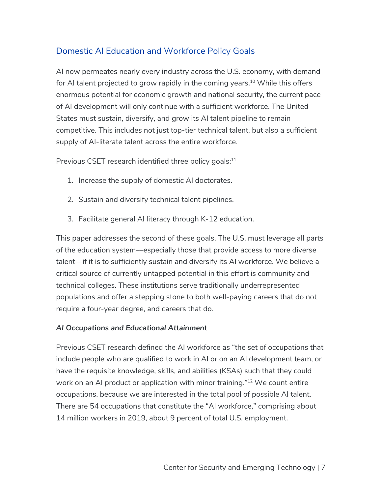# Domestic AI Education and Workforce Policy Goals

AI now permeates nearly every industry across the U.S. economy, with demand for AI talent projected to grow rapidly in the coming years.<sup>10</sup> While this offers enormous potential for economic growth and national security, the current pace of AI development will only continue with a sufficient workforce. The United States must sustain, diversify, and grow its AI talent pipeline to remain competitive. This includes not just top-tier technical talent, but also a sufficient supply of AI-literate talent across the entire workforce.

Previous CSET research identified three policy goals: $11$ 

- 1. Increase the supply of domestic AI doctorates.
- 2. Sustain and diversify technical talent pipelines.
- 3. Facilitate general AI literacy through K-12 education.

This paper addresses the second of these goals. The U.S. must leverage all parts of the education system––especially those that provide access to more diverse talent––if it is to sufficiently sustain and diversify its AI workforce. We believe a critical source of currently untapped potential in this effort is community and technical colleges. These institutions serve traditionally underrepresented populations and offer a stepping stone to both well-paying careers that do not require a four-year degree, and careers that do.

## *AI Occupations and Educational Attainment*

Previous CSET research defined the AI workforce as "the set of occupations that include people who are qualified to work in AI or on an AI development team, or have the requisite knowledge, skills, and abilities (KSAs) such that they could work on an AI product or application with minor training."<sup>12</sup> We count entire occupations, because we are interested in the total pool of possible AI talent. There are 54 occupations that constitute the "AI workforce," comprising about 14 million workers in 2019, about 9 percent of total U.S. employment.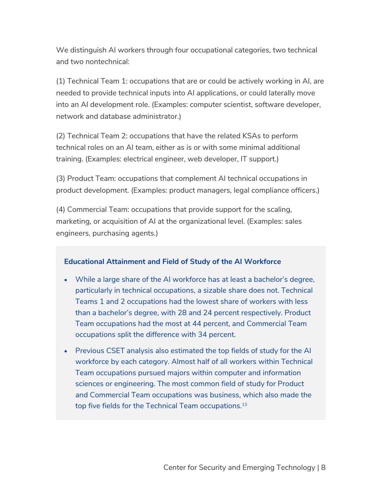We distinguish AI workers through four occupational categories, two technical and two nontechnical:

(1) Technical Team 1: occupations that are or could be actively working in AI, are needed to provide technical inputs into AI applications, or could laterally move into an AI development role. (Examples: computer scientist, software developer, network and database administrator.)

(2) Technical Team 2: occupations that have the related KSAs to perform technical roles on an AI team, either as is or with some minimal additional training. (Examples: electrical engineer, web developer, IT support.)

(3) Product Team: occupations that complement AI technical occupations in product development. (Examples: product managers, legal compliance officers.)

(4) Commercial Team: occupations that provide support for the scaling, marketing, or acquisition of AI at the organizational level. (Examples: sales engineers, purchasing agents.)

## **Educational Attainment and Field of Study of the AI Workforce**

- While a large share of the AI workforce has at least a bachelor's degree, particularly in technical occupations, a sizable share does not. Technical Teams 1 and 2 occupations had the lowest share of workers with less than a bachelor's degree, with 28 and 24 percent respectively. Product Team occupations had the most at 44 percent, and Commercial Team occupations split the difference with 34 percent.
- Previous CSET analysis also estimated the top fields of study for the AI workforce by each category. Almost half of all workers within Technical Team occupations pursued majors within computer and information sciences or engineering. The most common field of study for Product and Commercial Team occupations was business, which also made the top five fields for the Technical Team occupations.<sup>13</sup>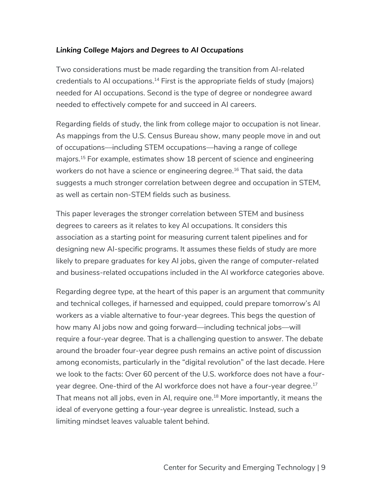## *Linking College Majors and Degrees to AI Occupations*

Two considerations must be made regarding the transition from AI-related credentials to AI occupations.<sup>14</sup> First is the appropriate fields of study (majors) needed for AI occupations. Second is the type of degree or nondegree award needed to effectively compete for and succeed in AI careers.

Regarding fields of study, the link from college major to occupation is not linear. As mappings from the U.S. Census Bureau show, many people move in and out of occupations––including STEM occupations––having a range of college majors.15 For example, estimates show 18 percent of science and engineering workers do not have a science or engineering degree.<sup>16</sup> That said, the data suggests a much stronger correlation between degree and occupation in STEM, as well as certain non-STEM fields such as business.

This paper leverages the stronger correlation between STEM and business degrees to careers as it relates to key AI occupations. It considers this association as a starting point for measuring current talent pipelines and for designing new AI-specific programs. It assumes these fields of study are more likely to prepare graduates for key AI jobs, given the range of computer-related and business-related occupations included in the AI workforce categories above.

Regarding degree type, at the heart of this paper is an argument that community and technical colleges, if harnessed and equipped, could prepare tomorrow's AI workers as a viable alternative to four-year degrees. This begs the question of how many AI jobs now and going forward––including technical jobs––will require a four-year degree. That is a challenging question to answer. The debate around the broader four-year degree push remains an active point of discussion among economists, particularly in the "digital revolution" of the last decade. Here we look to the facts: Over 60 percent of the U.S. workforce does not have a fouryear degree. One-third of the AI workforce does not have a four-year degree.<sup>17</sup> That means not all jobs, even in AI, require one.<sup>18</sup> More importantly, it means the ideal of everyone getting a four-year degree is unrealistic. Instead, such a limiting mindset leaves valuable talent behind.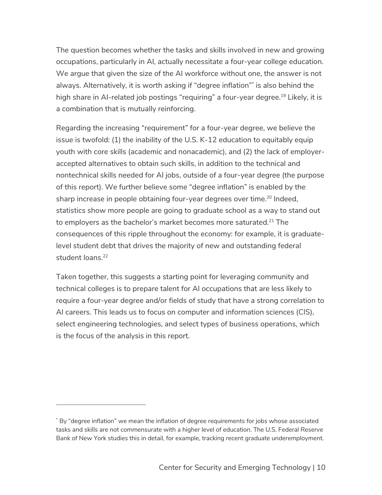The question becomes whether the tasks and skills involved in new and growing occupations, particularly in AI, actually necessitate a four-year college education. We argue that given the size of the AI workforce without one, the answer is not always. Alternatively, it is worth asking if "degree inflation"\* is also behind the high share in AI-related job postings "requiring" a four-year degree.<sup>19</sup> Likely, it is a combination that is mutually reinforcing.

Regarding the increasing "requirement" for a four-year degree, we believe the issue is twofold: (1) the inability of the U.S. K-12 education to equitably equip youth with core skills (academic and nonacademic), and (2) the lack of employeraccepted alternatives to obtain such skills, in addition to the technical and nontechnical skills needed for AI jobs, outside of a four-year degree (the purpose of this report). We further believe some "degree inflation" is enabled by the sharp increase in people obtaining four-year degrees over time.<sup>20</sup> Indeed, statistics show more people are going to graduate school as a way to stand out to employers as the bachelor's market becomes more saturated.<sup>21</sup> The consequences of this ripple throughout the economy: for example, it is graduatelevel student debt that drives the majority of new and outstanding federal student loans.<sup>22</sup>

Taken together, this suggests a starting point for leveraging community and technical colleges is to prepare talent for AI occupations that are less likely to require a four-year degree and/or fields of study that have a strong correlation to AI careers. This leads us to focus on computer and information sciences (CIS), select engineering technologies, and select types of business operations, which is the focus of the analysis in this report.

<sup>\*</sup> By "degree inflation" we mean the inflation of degree requirements for jobs whose associated tasks and skills are not commensurate with a higher level of education. The U.S. Federal Reserve Bank of New York studies this in detail, for example, tracking recent graduate underemployment.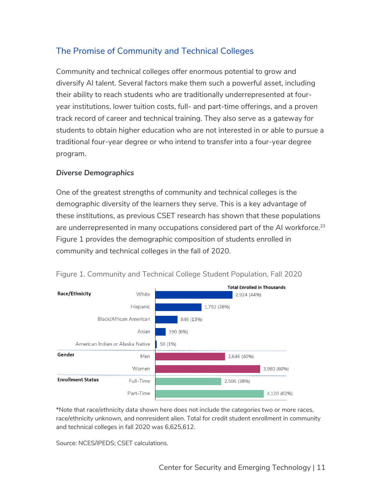# The Promise of Community and Technical Colleges

Community and technical colleges offer enormous potential to grow and diversify AI talent. Several factors make them such a powerful asset, including their ability to reach students who are traditionally underrepresented at fouryear institutions, lower tuition costs, full- and part-time offerings, and a proven track record of career and technical training. They also serve as a gateway for students to obtain higher education who are not interested in or able to pursue a traditional four-year degree or who intend to transfer into a four-year degree program.

## *Diverse Demographics*

One of the greatest strengths of community and technical colleges is the demographic diversity of the learners they serve. This is a key advantage of these institutions, as previous CSET research has shown that these populations are underrepresented in many occupations considered part of the AI workforce.<sup>23</sup> Figure 1 provides the demographic composition of students enrolled in community and technical colleges in the fall of 2020.



Figure 1. Community and Technical College Student Population, Fall 2020

\*Note that race/ethnicity data shown here does not include the categories two or more races, race/ethnicity unknown, and nonresident alien. Total for credit student enrollment in community and technical colleges in fall 2020 was 6,625,612.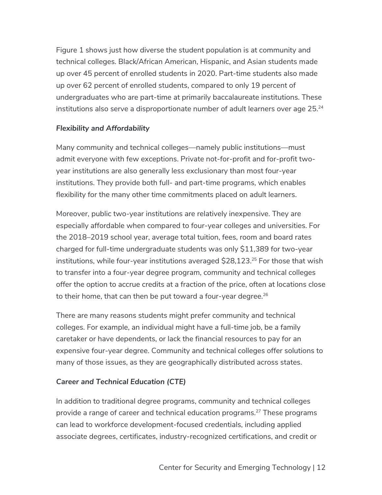Figure 1 shows just how diverse the student population is at community and technical colleges. Black/African American, Hispanic, and Asian students made up over 45 percent of enrolled students in 2020. Part-time students also made up over 62 percent of enrolled students, compared to only 19 percent of undergraduates who are part-time at primarily baccalaureate institutions. These institutions also serve a disproportionate number of adult learners over age 25.<sup>24</sup>

#### *Flexibility and Affordability*

Many community and technical colleges—namely public institutions—must admit everyone with few exceptions. Private not-for-profit and for-profit twoyear institutions are also generally less exclusionary than most four-year institutions. They provide both full- and part-time programs, which enables flexibility for the many other time commitments placed on adult learners.

Moreover, public two-year institutions are relatively inexpensive. They are especially affordable when compared to four-year colleges and universities. For the 2018–2019 school year, average total tuition, fees, room and board rates charged for full-time undergraduate students was only \$11,389 for two-year institutions, while four-year institutions averaged  $$28,123<sup>25</sup>$  For those that wish to transfer into a four-year degree program, community and technical colleges offer the option to accrue credits at a fraction of the price, often at locations close to their home, that can then be put toward a four-year degree.<sup>26</sup>

There are many reasons students might prefer community and technical colleges. For example, an individual might have a full-time job, be a family caretaker or have dependents, or lack the financial resources to pay for an expensive four-year degree. Community and technical colleges offer solutions to many of those issues, as they are geographically distributed across states.

## *Career and Technical Education (CTE)*

In addition to traditional degree programs, community and technical colleges provide a range of career and technical education programs.<sup>27</sup> These programs can lead to workforce development-focused credentials, including applied associate degrees, certificates, industry-recognized certifications, and credit or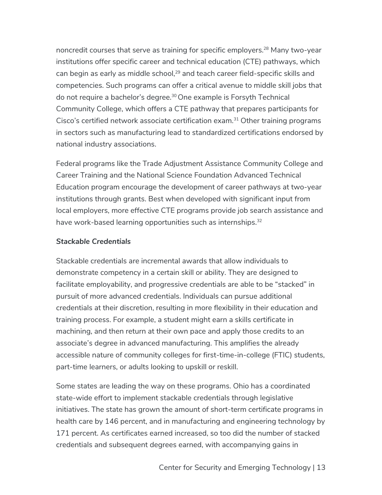noncredit courses that serve as training for specific employers. <sup>28</sup> Many two-year institutions offer specific career and technical education (CTE) pathways, which can begin as early as middle school,<sup>29</sup> and teach career field-specific skills and competencies. Such programs can offer a critical avenue to middle skill jobs that do not require a bachelor's degree.<sup>30</sup> One example is Forsyth Technical Community College, which offers a CTE pathway that prepares participants for Cisco's certified network associate certification exam.<sup>31</sup> Other training programs in sectors such as manufacturing lead to standardized certifications endorsed by national industry associations.

Federal programs like the Trade Adjustment Assistance Community College and Career Training and the National Science Foundation Advanced Technical Education program encourage the development of career pathways at two-year institutions through grants. Best when developed with significant input from local employers, more effective CTE programs provide job search assistance and have work-based learning opportunities such as internships.<sup>32</sup>

#### *Stackable Credentials*

Stackable credentials are incremental awards that allow individuals to demonstrate competency in a certain skill or ability. They are designed to facilitate employability, and progressive credentials are able to be "stacked" in pursuit of more advanced credentials. Individuals can pursue additional credentials at their discretion, resulting in more flexibility in their education and training process. For example, a student might earn a skills certificate in machining, and then return at their own pace and apply those credits to an associate's degree in advanced manufacturing. This amplifies the already accessible nature of community colleges for first-time-in-college (FTIC) students, part-time learners, or adults looking to upskill or reskill.

Some states are leading the way on these programs. Ohio has a coordinated state-wide effort to implement stackable credentials through legislative initiatives. The state has grown the amount of short-term certificate programs in health care by 146 percent, and in manufacturing and engineering technology by 171 percent. As certificates earned increased, so too did the number of stacked credentials and subsequent degrees earned, with accompanying gains in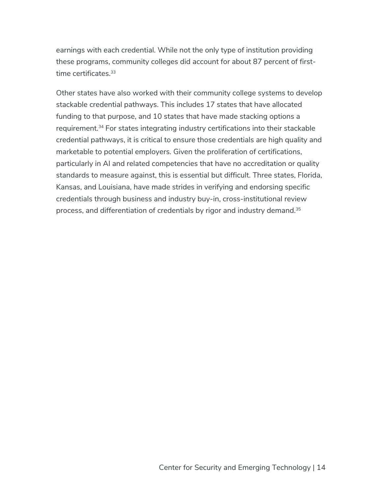earnings with each credential. While not the only type of institution providing these programs, community colleges did account for about 87 percent of firsttime certificates.<sup>33</sup>

Other states have also worked with their community college systems to develop stackable credential pathways. This includes 17 states that have allocated funding to that purpose, and 10 states that have made stacking options a requirement.34 For states integrating industry certifications into their stackable credential pathways, it is critical to ensure those credentials are high quality and marketable to potential employers. Given the proliferation of certifications, particularly in AI and related competencies that have no accreditation or quality standards to measure against, this is essential but difficult. Three states, Florida, Kansas, and Louisiana, have made strides in verifying and endorsing specific credentials through business and industry buy-in, cross-institutional review process, and differentiation of credentials by rigor and industry demand.35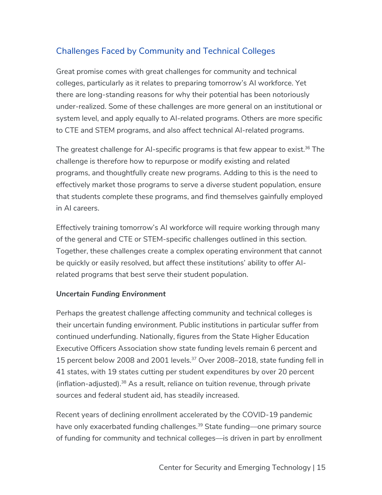# Challenges Faced by Community and Technical Colleges

Great promise comes with great challenges for community and technical colleges, particularly as it relates to preparing tomorrow's AI workforce. Yet there are long-standing reasons for why their potential has been notoriously under-realized. Some of these challenges are more general on an institutional or system level, and apply equally to AI-related programs. Others are more specific to CTE and STEM programs, and also affect technical AI-related programs.

The greatest challenge for AI-specific programs is that few appear to exist.<sup>36</sup> The challenge is therefore how to repurpose or modify existing and related programs, and thoughtfully create new programs. Adding to this is the need to effectively market those programs to serve a diverse student population, ensure that students complete these programs, and find themselves gainfully employed in AI careers.

Effectively training tomorrow's AI workforce will require working through many of the general and CTE or STEM-specific challenges outlined in this section. Together, these challenges create a complex operating environment that cannot be quickly or easily resolved, but affect these institutions' ability to offer AIrelated programs that best serve their student population.

## *Uncertain Funding Environment*

Perhaps the greatest challenge affecting community and technical colleges is their uncertain funding environment. Public institutions in particular suffer from continued underfunding. Nationally, figures from the State Higher Education Executive Officers Association show state funding levels remain 6 percent and 15 percent below 2008 and 2001 levels.<sup>37</sup> Over 2008–2018, state funding fell in 41 states, with 19 states cutting per student expenditures by over 20 percent (inflation-adjusted).38 As a result, reliance on tuition revenue, through private sources and federal student aid, has steadily increased.

Recent years of declining enrollment accelerated by the COVID-19 pandemic have only exacerbated funding challenges.<sup>39</sup> State funding—one primary source of funding for community and technical colleges––is driven in part by enrollment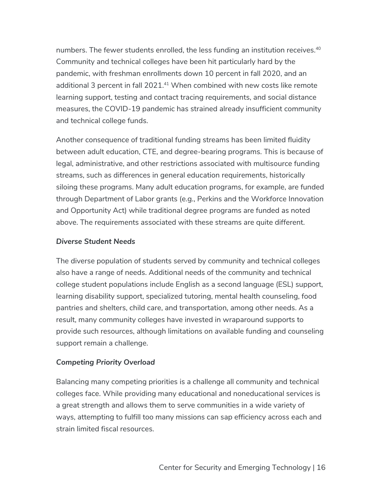numbers. The fewer students enrolled, the less funding an institution receives.<sup>40</sup> Community and technical colleges have been hit particularly hard by the pandemic, with freshman enrollments down 10 percent in fall 2020, and an additional 3 percent in fall 2021.<sup>41</sup> When combined with new costs like remote learning support, testing and contact tracing requirements, and social distance measures, the COVID-19 pandemic has strained already insufficient community and technical college funds.

Another consequence of traditional funding streams has been limited fluidity between adult education, CTE, and degree-bearing programs. This is because of legal, administrative, and other restrictions associated with multisource funding streams, such as differences in general education requirements, historically siloing these programs. Many adult education programs, for example, are funded through Department of Labor grants (e.g., Perkins and the Workforce Innovation and Opportunity Act) while traditional degree programs are funded as noted above. The requirements associated with these streams are quite different.

#### *Diverse Student Needs*

The diverse population of students served by community and technical colleges also have a range of needs. Additional needs of the community and technical college student populations include English as a second language (ESL) support, learning disability support, specialized tutoring, mental health counseling, food pantries and shelters, child care, and transportation, among other needs. As a result, many community colleges have invested in wraparound supports to provide such resources, although limitations on available funding and counseling support remain a challenge.

## *Competing Priority Overload*

Balancing many competing priorities is a challenge all community and technical colleges face. While providing many educational and noneducational services is a great strength and allows them to serve communities in a wide variety of ways, attempting to fulfill too many missions can sap efficiency across each and strain limited fiscal resources.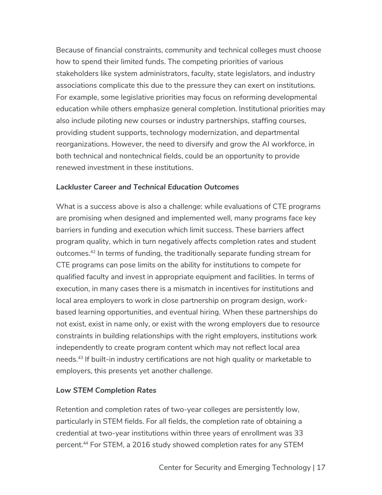Because of financial constraints, community and technical colleges must choose how to spend their limited funds. The competing priorities of various stakeholders like system administrators, faculty, state legislators, and industry associations complicate this due to the pressure they can exert on institutions. For example, some legislative priorities may focus on reforming developmental education while others emphasize general completion. Institutional priorities may also include piloting new courses or industry partnerships, staffing courses, providing student supports, technology modernization, and departmental reorganizations. However, the need to diversify and grow the AI workforce, in both technical and nontechnical fields, could be an opportunity to provide renewed investment in these institutions.

## *Lackluster Career and Technical Education Outcomes*

What is a success above is also a challenge: while evaluations of CTE programs are promising when designed and implemented well, many programs face key barriers in funding and execution which limit success. These barriers affect program quality, which in turn negatively affects completion rates and student outcomes.42 In terms of funding, the traditionally separate funding stream for CTE programs can pose limits on the ability for institutions to compete for qualified faculty and invest in appropriate equipment and facilities. In terms of execution, in many cases there is a mismatch in incentives for institutions and local area employers to work in close partnership on program design, workbased learning opportunities, and eventual hiring. When these partnerships do not exist, exist in name only, or exist with the wrong employers due to resource constraints in building relationships with the right employers, institutions work independently to create program content which may not reflect local area needs.43 If built-in industry certifications are not high quality or marketable to employers, this presents yet another challenge.

## *Low STEM Completion Rates*

Retention and completion rates of two-year colleges are persistently low, particularly in STEM fields. For all fields, the completion rate of obtaining a credential at two-year institutions within three years of enrollment was 33 percent.44 For STEM, a 2016 study showed completion rates for any STEM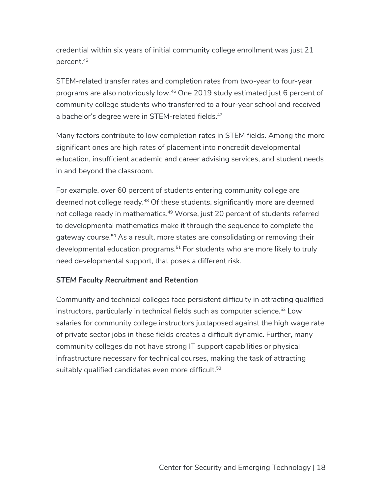credential within six years of initial community college enrollment was just 21 percent.45

STEM-related transfer rates and completion rates from two-year to four-year programs are also notoriously low.46 One 2019 study estimated just 6 percent of community college students who transferred to a four-year school and received a bachelor's degree were in STEM-related fields.<sup>47</sup>

Many factors contribute to low completion rates in STEM fields. Among the more significant ones are high rates of placement into noncredit developmental education, insufficient academic and career advising services, and student needs in and beyond the classroom.

For example, over 60 percent of students entering community college are deemed not college ready.<sup>48</sup> Of these students, significantly more are deemed not college ready in mathematics.<sup>49</sup> Worse, just 20 percent of students referred to developmental mathematics make it through the sequence to complete the gateway course.<sup>50</sup> As a result, more states are consolidating or removing their developmental education programs.<sup>51</sup> For students who are more likely to truly need developmental support, that poses a different risk.

## *STEM Faculty Recruitment and Retention*

Community and technical colleges face persistent difficulty in attracting qualified instructors, particularly in technical fields such as computer science.<sup>52</sup> Low salaries for community college instructors juxtaposed against the high wage rate of private sector jobs in these fields creates a difficult dynamic. Further, many community colleges do not have strong IT support capabilities or physical infrastructure necessary for technical courses, making the task of attracting suitably qualified candidates even more difficult.<sup>53</sup>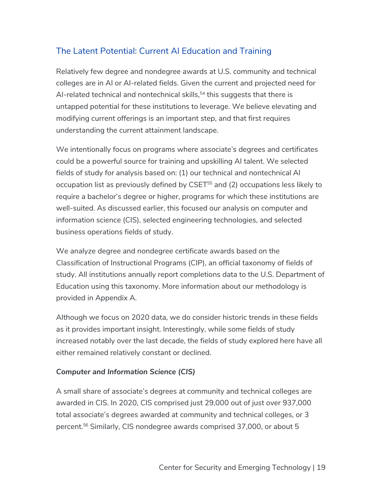# The Latent Potential: Current AI Education and Training

Relatively few degree and nondegree awards at U.S. community and technical colleges are in AI or AI-related fields. Given the current and projected need for AI-related technical and nontechnical skills, $54$  this suggests that there is untapped potential for these institutions to leverage. We believe elevating and modifying current offerings is an important step, and that first requires understanding the current attainment landscape.

We intentionally focus on programs where associate's degrees and certificates could be a powerful source for training and upskilling AI talent. We selected fields of study for analysis based on: (1) our technical and nontechnical AI occupation list as previously defined by CSET<sup>55</sup> and (2) occupations less likely to require a bachelor's degree or higher, programs for which these institutions are well-suited. As discussed earlier, this focused our analysis on computer and information science (CIS), selected engineering technologies, and selected business operations fields of study.

We analyze degree and nondegree certificate awards based on the Classification of Instructional Programs (CIP), an official taxonomy of fields of study. All institutions annually report completions data to the U.S. Department of Education using this taxonomy. More information about our methodology is provided in Appendix A.

Although we focus on 2020 data, we do consider historic trends in these fields as it provides important insight. Interestingly, while some fields of study increased notably over the last decade, the fields of study explored here have all either remained relatively constant or declined.

## *Computer and Information Science (CIS)*

A small share of associate's degrees at community and technical colleges are awarded in CIS. In 2020, CIS comprised just 29,000 out of just over 937,000 total associate's degrees awarded at community and technical colleges, or 3 percent.56 Similarly, CIS nondegree awards comprised 37,000, or about 5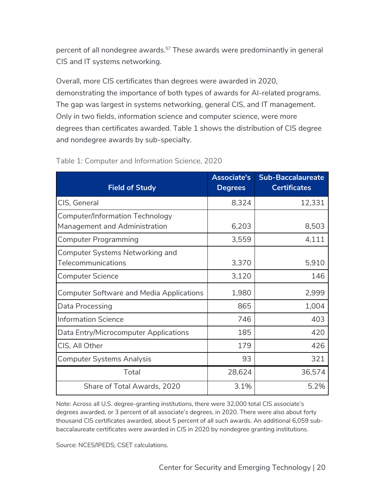percent of all nondegree awards.<sup>57</sup> These awards were predominantly in general CIS and IT systems networking.

Overall, more CIS certificates than degrees were awarded in 2020, demonstrating the importance of both types of awards for AI-related programs. The gap was largest in systems networking, general CIS, and IT management. Only in two fields, information science and computer science, were more degrees than certificates awarded. Table 1 shows the distribution of CIS degree and nondegree awards by sub-specialty.

| <b>Field of Study</b>                                                   | <b>Associate's</b><br><b>Degrees</b> | <b>Sub-Baccalaureate</b><br><b>Certificates</b> |
|-------------------------------------------------------------------------|--------------------------------------|-------------------------------------------------|
| CIS, General                                                            | 8,324                                | 12,331                                          |
| <b>Computer/Information Technology</b><br>Management and Administration | 6,203                                | 8,503                                           |
| <b>Computer Programming</b>                                             | 3,559                                | 4,111                                           |
| <b>Computer Systems Networking and</b><br>Telecommunications            | 3,370                                | 5,910                                           |
| <b>Computer Science</b>                                                 | 3,120                                | 146                                             |
| <b>Computer Software and Media Applications</b>                         | 1,980                                | 2,999                                           |
| Data Processing                                                         | 865                                  | 1,004                                           |
| <b>Information Science</b>                                              | 746                                  | 403                                             |
| Data Entry/Microcomputer Applications                                   | 185                                  | 420                                             |
| CIS, All Other                                                          | 179                                  | 426                                             |
| <b>Computer Systems Analysis</b>                                        | 93                                   | 321                                             |
| Total                                                                   | 28,624                               | 36,574                                          |
| Share of Total Awards, 2020                                             | 3.1%                                 | 5.2%                                            |

Table 1: Computer and Information Science, 2020

Note: Across all U.S. degree-granting institutions, there were 32,000 total CIS associate's degrees awarded, or 3 percent of all associate's degrees, in 2020. There were also about forty thousand CIS certificates awarded, about 5 percent of all such awards. An additional 6,059 subbaccalaureate certificates were awarded in CIS in 2020 by nondegree granting institutions.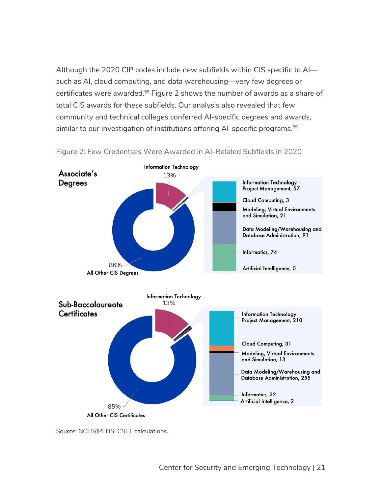Although the 2020 CIP codes include new subfields within CIS specific to AI such as AI, cloud computing, and data warehousing—very few degrees or certificates were awarded.<sup>58</sup> Figure 2 shows the number of awards as a share of total CIS awards for these subfields. Our analysis also revealed that few community and technical colleges conferred AI-specific degrees and awards, similar to our investigation of institutions offering AI-specific programs.<sup>59</sup>



Figure 2: Few Credentials Were Awarded in AI-Related Subfields in 2020

Source: NCES/IPEDS; CSET calculations.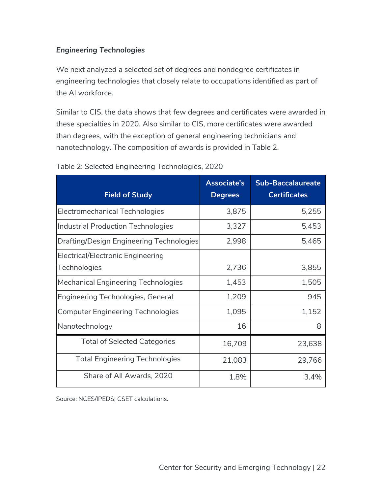## *Engineering Technologies*

We next analyzed a selected set of degrees and nondegree certificates in engineering technologies that closely relate to occupations identified as part of the AI workforce.

Similar to CIS, the data shows that few degrees and certificates were awarded in these specialties in 2020. Also similar to CIS, more certificates were awarded than degrees, with the exception of general engineering technicians and nanotechnology. The composition of awards is provided in Table 2.

| <b>Field of Study</b>                                    | <b>Associate's</b><br><b>Degrees</b> | <b>Sub-Baccalaureate</b><br><b>Certificates</b> |
|----------------------------------------------------------|--------------------------------------|-------------------------------------------------|
| <b>Electromechanical Technologies</b>                    | 3,875                                | 5,255                                           |
| <b>Industrial Production Technologies</b>                | 3,327                                | 5,453                                           |
| Drafting/Design Engineering Technologies                 | 2,998                                | 5,465                                           |
| <b>Electrical/Electronic Engineering</b><br>Technologies | 2,736                                | 3,855                                           |
| <b>Mechanical Engineering Technologies</b>               | 1,453                                | 1,505                                           |
| Engineering Technologies, General                        | 1,209                                | 945                                             |
| <b>Computer Engineering Technologies</b>                 | 1,095                                | 1,152                                           |
| Nanotechnology                                           | 16                                   | 8                                               |
| <b>Total of Selected Categories</b>                      | 16,709                               | 23,638                                          |
| <b>Total Engineering Technologies</b>                    | 21,083                               | 29,766                                          |
| Share of All Awards, 2020                                | 1.8%                                 | 3.4%                                            |

#### Table 2: Selected Engineering Technologies, 2020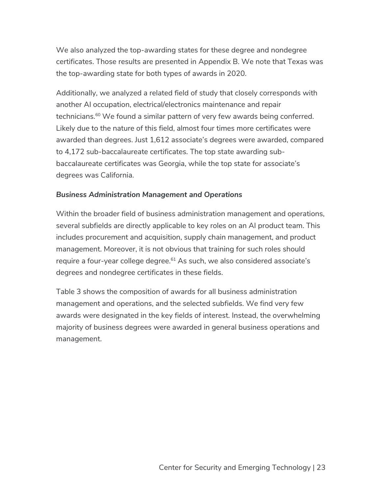We also analyzed the top-awarding states for these degree and nondegree certificates. Those results are presented in Appendix B. We note that Texas was the top-awarding state for both types of awards in 2020.

Additionally, we analyzed a related field of study that closely corresponds with another AI occupation, electrical/electronics maintenance and repair technicians.<sup>60</sup> We found a similar pattern of very few awards being conferred. Likely due to the nature of this field, almost four times more certificates were awarded than degrees. Just 1,612 associate's degrees were awarded, compared to 4,172 sub-baccalaureate certificates. The top state awarding subbaccalaureate certificates was Georgia, while the top state for associate's degrees was California.

#### *Business Administration Management and Operations*

Within the broader field of business administration management and operations, several subfields are directly applicable to key roles on an AI product team. This includes procurement and acquisition, supply chain management, and product management. Moreover, it is not obvious that training for such roles should require a four-year college degree.<sup>61</sup> As such, we also considered associate's degrees and nondegree certificates in these fields.

Table 3 shows the composition of awards for all business administration management and operations, and the selected subfields. We find very few awards were designated in the key fields of interest. Instead, the overwhelming majority of business degrees were awarded in general business operations and management.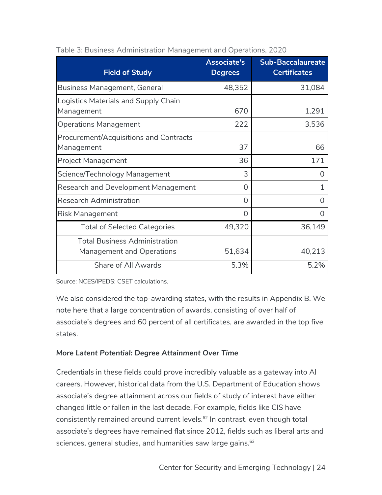| <b>Field of Study</b>                  | Associate's<br><b>Degrees</b> | <b>Sub-Baccalaureate</b><br><b>Certificates</b> |
|----------------------------------------|-------------------------------|-------------------------------------------------|
| <b>Business Management, General</b>    | 48,352                        | 31,084                                          |
| Logistics Materials and Supply Chain   |                               |                                                 |
| Management                             | 670                           | 1,291                                           |
| <b>Operations Management</b>           | 222                           | 3,536                                           |
| Procurement/Acquisitions and Contracts |                               |                                                 |
| Management                             | 37                            | 66                                              |
| <b>Project Management</b>              | 36                            | 171                                             |
| Science/Technology Management          | 3                             | 0                                               |
| Research and Development Management    | 0                             |                                                 |
| <b>Research Administration</b>         | O                             |                                                 |
| <b>Risk Management</b>                 | 0                             | 0                                               |
| <b>Total of Selected Categories</b>    | 49,320                        | 36,149                                          |
| <b>Total Business Administration</b>   |                               |                                                 |
| <b>Management and Operations</b>       | 51,634                        | 40,213                                          |
| Share of All Awards                    | 5.3%                          | 5.2%                                            |

|  |  | Table 3: Business Administration Management and Operations, 2020 |  |
|--|--|------------------------------------------------------------------|--|
|  |  |                                                                  |  |

Source: NCES/IPEDS; CSET calculations.

We also considered the top-awarding states, with the results in Appendix B. We note here that a large concentration of awards, consisting of over half of associate's degrees and 60 percent of all certificates, are awarded in the top five states.

## *More Latent Potential: Degree Attainment Over Time*

Credentials in these fields could prove incredibly valuable as a gateway into AI careers. However, historical data from the U.S. Department of Education shows associate's degree attainment across our fields of study of interest have either changed little or fallen in the last decade. For example, fields like CIS have consistently remained around current levels.<sup>62</sup> In contrast, even though total associate's degrees have remained flat since 2012, fields such as liberal arts and sciences, general studies, and humanities saw large gains.<sup>63</sup>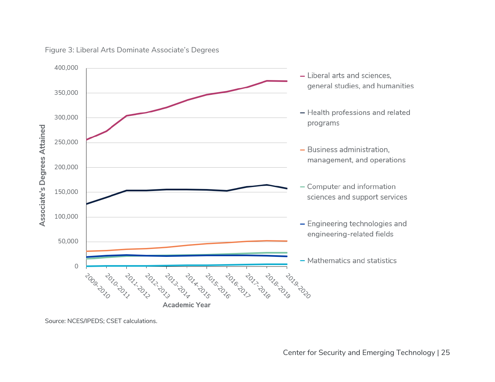

#### Figure 3: Liberal Arts Dominate Associate's Degrees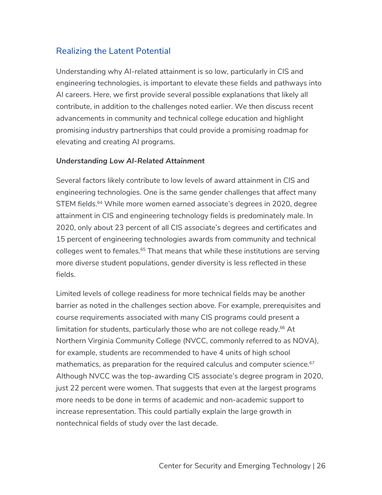## Realizing the Latent Potential

Understanding why AI-related attainment is so low, particularly in CIS and engineering technologies, is important to elevate these fields and pathways into AI careers. Here, we first provide several possible explanations that likely all contribute, in addition to the challenges noted earlier. We then discuss recent advancements in community and technical college education and highlight promising industry partnerships that could provide a promising roadmap for elevating and creating AI programs.

#### *Understanding Low AI-Related Attainment*

Several factors likely contribute to low levels of award attainment in CIS and engineering technologies. One is the same gender challenges that affect many STEM fields.<sup>64</sup> While more women earned associate's degrees in 2020, degree attainment in CIS and engineering technology fields is predominately male. In 2020, only about 23 percent of all CIS associate's degrees and certificates and 15 percent of engineering technologies awards from community and technical colleges went to females.<sup>65</sup> That means that while these institutions are serving more diverse student populations, gender diversity is less reflected in these fields.

Limited levels of college readiness for more technical fields may be another barrier as noted in the challenges section above. For example, prerequisites and course requirements associated with many CIS programs could present a limitation for students, particularly those who are not college ready.<sup>66</sup> At Northern Virginia Community College (NVCC, commonly referred to as NOVA), for example, students are recommended to have 4 units of high school mathematics, as preparation for the required calculus and computer science.<sup>67</sup> Although NVCC was the top-awarding CIS associate's degree program in 2020, just 22 percent were women. That suggests that even at the largest programs more needs to be done in terms of academic and non-academic support to increase representation. This could partially explain the large growth in nontechnical fields of study over the last decade.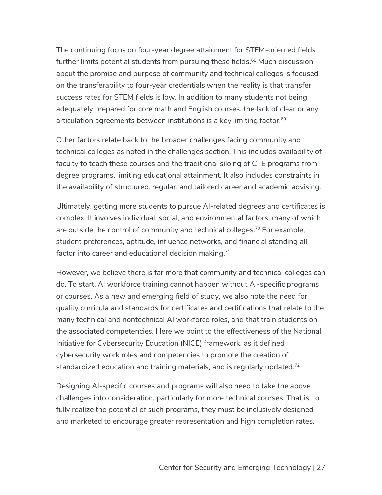The continuing focus on four-year degree attainment for STEM-oriented fields further limits potential students from pursuing these fields.<sup>68</sup> Much discussion about the promise and purpose of community and technical colleges is focused on the transferability to four-year credentials when the reality is that transfer success rates for STEM fields is low. In addition to many students not being adequately prepared for core math and English courses, the lack of clear or any articulation agreements between institutions is a key limiting factor.<sup>69</sup>

Other factors relate back to the broader challenges facing community and technical colleges as noted in the challenges section. This includes availability of faculty to teach these courses and the traditional siloing of CTE programs from degree programs, limiting educational attainment. It also includes constraints in the availability of structured, regular, and tailored career and academic advising.

Ultimately, getting more students to pursue AI-related degrees and certificates is complex. It involves individual, social, and environmental factors, many of which are outside the control of community and technical colleges.<sup>70</sup> For example, student preferences, aptitude, influence networks, and financial standing all factor into career and educational decision making.<sup>71</sup>

However, we believe there is far more that community and technical colleges can do. To start, AI workforce training cannot happen without AI-specific programs or courses. As a new and emerging field of study, we also note the need for quality curricula and standards for certificates and certifications that relate to the many technical and nontechnical AI workforce roles, and that train students on the associated competencies. Here we point to the effectiveness of the National Initiative for Cybersecurity Education (NICE) framework, as it defined cybersecurity work roles and competencies to promote the creation of standardized education and training materials, and is regularly updated.<sup>72</sup>

Designing AI-specific courses and programs will also need to take the above challenges into consideration, particularly for more technical courses. That is, to fully realize the potential of such programs, they must be inclusively designed and marketed to encourage greater representation and high completion rates.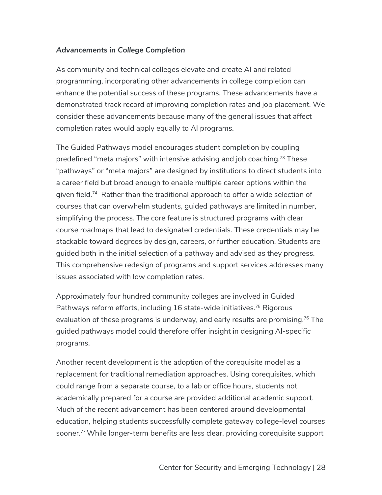## *Advancements in College Completion*

As community and technical colleges elevate and create AI and related programming, incorporating other advancements in college completion can enhance the potential success of these programs. These advancements have a demonstrated track record of improving completion rates and job placement. We consider these advancements because many of the general issues that affect completion rates would apply equally to AI programs.

The Guided Pathways model encourages student completion by coupling predefined "meta majors" with intensive advising and job coaching.73 These "pathways" or "meta majors" are designed by institutions to direct students into a career field but broad enough to enable multiple career options within the given field.<sup>74</sup> Rather than the traditional approach to offer a wide selection of courses that can overwhelm students, guided pathways are limited in number, simplifying the process. The core feature is structured programs with clear course roadmaps that lead to designated credentials. These credentials may be stackable toward degrees by design, careers, or further education. Students are guided both in the initial selection of a pathway and advised as they progress. This comprehensive redesign of programs and support services addresses many issues associated with low completion rates.

Approximately four hundred community colleges are involved in Guided Pathways reform efforts, including 16 state-wide initiatives.<sup>75</sup> Rigorous evaluation of these programs is underway, and early results are promising.<sup>76</sup> The guided pathways model could therefore offer insight in designing AI-specific programs.

Another recent development is the adoption of the corequisite model as a replacement for traditional remediation approaches. Using corequisites, which could range from a separate course, to a lab or office hours, students not academically prepared for a course are provided additional academic support. Much of the recent advancement has been centered around developmental education, helping students successfully complete gateway college-level courses sooner.<sup>77</sup> While longer-term benefits are less clear, providing corequisite support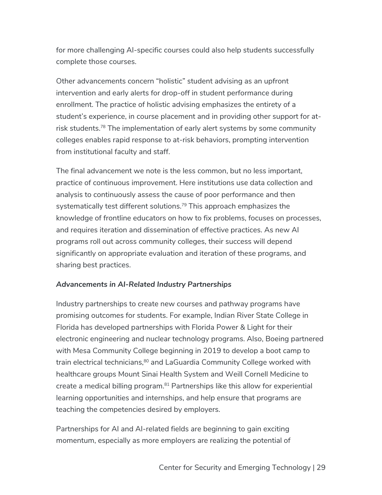for more challenging AI-specific courses could also help students successfully complete those courses.

Other advancements concern "holistic" student advising as an upfront intervention and early alerts for drop-off in student performance during enrollment. The practice of holistic advising emphasizes the entirety of a student's experience, in course placement and in providing other support for atrisk students.<sup>78</sup> The implementation of early alert systems by some community colleges enables rapid response to at-risk behaviors, prompting intervention from institutional faculty and staff.

The final advancement we note is the less common, but no less important, practice of continuous improvement. Here institutions use data collection and analysis to continuously assess the cause of poor performance and then systematically test different solutions.<sup>79</sup> This approach emphasizes the knowledge of frontline educators on how to fix problems, focuses on processes, and requires iteration and dissemination of effective practices. As new AI programs roll out across community colleges, their success will depend significantly on appropriate evaluation and iteration of these programs, and sharing best practices.

#### *Advancements in AI-Related Industry Partnerships*

Industry partnerships to create new courses and pathway programs have promising outcomes for students. For example, Indian River State College in Florida has developed partnerships with Florida Power & Light for their electronic engineering and nuclear technology programs. Also, Boeing partnered with Mesa Community College beginning in 2019 to develop a boot camp to train electrical technicians,<sup>80</sup> and LaGuardia Community College worked with healthcare groups Mount Sinai Health System and Weill Cornell Medicine to create a medical billing program.<sup>81</sup> Partnerships like this allow for experiential learning opportunities and internships, and help ensure that programs are teaching the competencies desired by employers.

Partnerships for AI and AI-related fields are beginning to gain exciting momentum, especially as more employers are realizing the potential of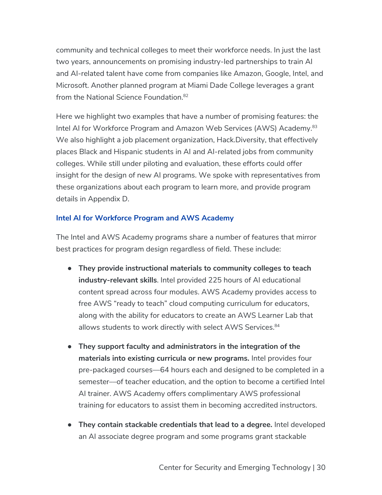community and technical colleges to meet their workforce needs. In just the last two years, announcements on promising industry-led partnerships to train AI and AI-related talent have come from companies like Amazon, Google, Intel, and Microsoft. Another planned program at Miami Dade College leverages a grant from the National Science Foundation.<sup>82</sup>

Here we highlight two examples that have a number of promising features: the Intel AI for Workforce Program and Amazon Web Services (AWS) Academy.<sup>83</sup> We also highlight a job placement organization, Hack.Diversity, that effectively places Black and Hispanic students in AI and AI-related jobs from community colleges. While still under piloting and evaluation, these efforts could offer insight for the design of new AI programs. We spoke with representatives from these organizations about each program to learn more, and provide program details in Appendix D.

## **Intel AI for Workforce Program and AWS Academy**

The Intel and AWS Academy programs share a number of features that mirror best practices for program design regardless of field. These include:

- **They provide instructional materials to community colleges to teach industry-relevant skills**. Intel provided 225 hours of AI educational content spread across four modules. AWS Academy provides access to free AWS "ready to teach" cloud computing curriculum for educators, along with the ability for educators to create an AWS Learner Lab that allows students to work directly with select AWS Services.<sup>84</sup>
- **They support faculty and administrators in the integration of the materials into existing curricula or new programs.** Intel provides four pre-packaged courses––64 hours each and designed to be completed in a semester––of teacher education, and the option to become a certified Intel AI trainer. AWS Academy offers complimentary AWS professional training for educators to assist them in becoming accredited instructors.
- **They contain stackable credentials that lead to a degree.** Intel developed an AI associate degree program and some programs grant stackable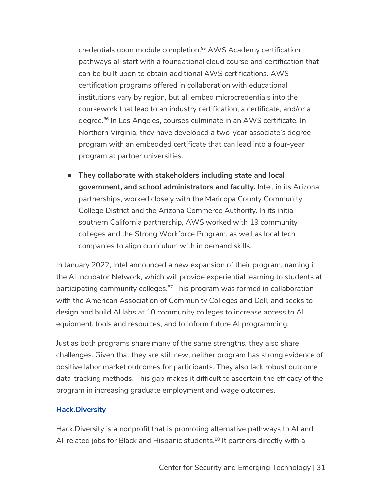credentials upon module completion.<sup>85</sup> AWS Academy certification pathways all start with a foundational cloud course and certification that can be built upon to obtain additional AWS certifications. AWS certification programs offered in collaboration with educational institutions vary by region, but all embed microcredentials into the coursework that lead to an industry certification, a certificate, and/or a degree. <sup>86</sup> In Los Angeles, courses culminate in an AWS certificate. In Northern Virginia, they have developed a two-year associate's degree program with an embedded certificate that can lead into a four-year program at partner universities.

● **They collaborate with stakeholders including state and local government, and school administrators and faculty.** Intel, in its Arizona partnerships, worked closely with the Maricopa County Community College District and the Arizona Commerce Authority. In its initial southern California partnership, AWS worked with 19 community colleges and the Strong Workforce Program, as well as local tech companies to align curriculum with in demand skills.

In January 2022, Intel announced a new expansion of their program, naming it the AI Incubator Network, which will provide experiential learning to students at participating community colleges.<sup>87</sup> This program was formed in collaboration with the American Association of Community Colleges and Dell, and seeks to design and build AI labs at 10 community colleges to increase access to AI equipment, tools and resources, and to inform future AI programming.

Just as both programs share many of the same strengths, they also share challenges. Given that they are still new, neither program has strong evidence of positive labor market outcomes for participants. They also lack robust outcome data-tracking methods. This gap makes it difficult to ascertain the efficacy of the program in increasing graduate employment and wage outcomes.

#### **Hack.Diversity**

Hack.Diversity is a nonprofit that is promoting alternative pathways to AI and AI-related jobs for Black and Hispanic students.<sup>88</sup> It partners directly with a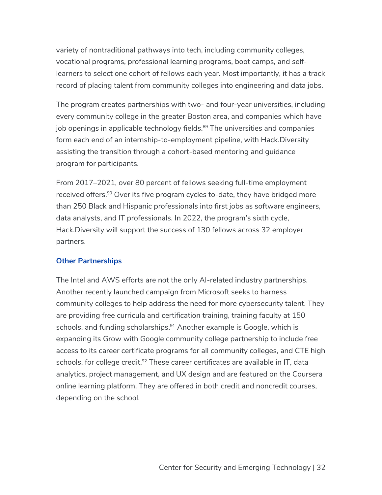variety of nontraditional pathways into tech, including community colleges, vocational programs, professional learning programs, boot camps, and selflearners to select one cohort of fellows each year. Most importantly, it has a track record of placing talent from community colleges into engineering and data jobs.

The program creates partnerships with two- and four-year universities, including every community college in the greater Boston area, and companies which have job openings in applicable technology fields. $89$  The universities and companies form each end of an internship-to-employment pipeline, with Hack.Diversity assisting the transition through a cohort-based mentoring and guidance program for participants.

From 2017–2021, over 80 percent of fellows seeking full-time employment received offers.<sup>90</sup> Over its five program cycles to-date, they have bridged more than 250 Black and Hispanic professionals into first jobs as software engineers, data analysts, and IT professionals. In 2022, the program's sixth cycle, Hack.Diversity will support the success of 130 fellows across 32 employer partners.

#### **Other Partnerships**

The Intel and AWS efforts are not the only AI-related industry partnerships. Another recently launched campaign from Microsoft seeks to harness community colleges to help address the need for more cybersecurity talent. They are providing free curricula and certification training, training faculty at 150 schools, and funding scholarships.<sup>91</sup> Another example is Google, which is expanding its Grow with Google community college partnership to include free access to its career certificate programs for all community colleges, and CTE high schools, for college credit.<sup>92</sup> These career certificates are available in IT, data analytics, project management, and UX design and are featured on the Coursera online learning platform. They are offered in both credit and noncredit courses, depending on the school.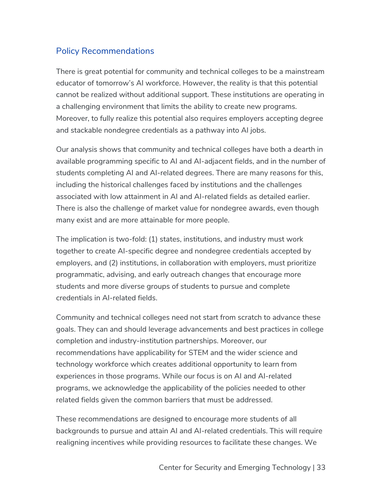# Policy Recommendations

There is great potential for community and technical colleges to be a mainstream educator of tomorrow's AI workforce. However, the reality is that this potential cannot be realized without additional support. These institutions are operating in a challenging environment that limits the ability to create new programs. Moreover, to fully realize this potential also requires employers accepting degree and stackable nondegree credentials as a pathway into AI jobs.

Our analysis shows that community and technical colleges have both a dearth in available programming specific to AI and AI-adjacent fields, and in the number of students completing AI and AI-related degrees. There are many reasons for this, including the historical challenges faced by institutions and the challenges associated with low attainment in AI and AI-related fields as detailed earlier. There is also the challenge of market value for nondegree awards, even though many exist and are more attainable for more people.

The implication is two-fold: (1) states, institutions, and industry must work together to create AI-specific degree and nondegree credentials accepted by employers, and (2) institutions, in collaboration with employers, must prioritize programmatic, advising, and early outreach changes that encourage more students and more diverse groups of students to pursue and complete credentials in AI-related fields.

Community and technical colleges need not start from scratch to advance these goals. They can and should leverage advancements and best practices in college completion and industry-institution partnerships. Moreover, our recommendations have applicability for STEM and the wider science and technology workforce which creates additional opportunity to learn from experiences in those programs. While our focus is on AI and AI-related programs, we acknowledge the applicability of the policies needed to other related fields given the common barriers that must be addressed.

These recommendations are designed to encourage more students of all backgrounds to pursue and attain AI and AI-related credentials. This will require realigning incentives while providing resources to facilitate these changes. We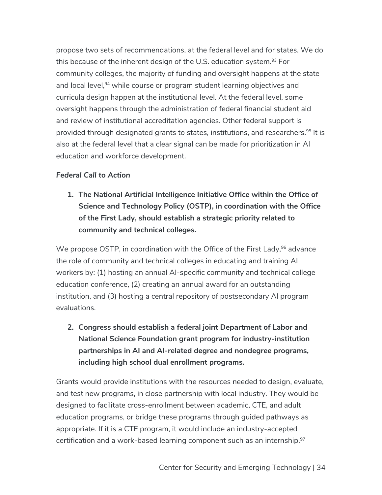propose two sets of recommendations, at the federal level and for states. We do this because of the inherent design of the U.S. education system.<sup>93</sup> For community colleges, the majority of funding and oversight happens at the state and local level,<sup>94</sup> while course or program student learning objectives and curricula design happen at the institutional level. At the federal level, some oversight happens through the administration of federal financial student aid and review of institutional accreditation agencies. Other federal support is provided through designated grants to states, institutions, and researchers.95 It is also at the federal level that a clear signal can be made for prioritization in AI education and workforce development.

## *Federal Call to Action*

**1. The National Artificial Intelligence Initiative Office within the Office of Science and Technology Policy (OSTP), in coordination with the Office of the First Lady, should establish a strategic priority related to community and technical colleges.** 

We propose OSTP, in coordination with the Office of the First Lady, <sup>96</sup> advance the role of community and technical colleges in educating and training AI workers by: (1) hosting an annual AI-specific community and technical college education conference, (2) creating an annual award for an outstanding institution, and (3) hosting a central repository of postsecondary AI program evaluations.

**2. Congress should establish a federal joint Department of Labor and National Science Foundation grant program for industry-institution partnerships in AI and AI-related degree and nondegree programs, including high school dual enrollment programs.**

Grants would provide institutions with the resources needed to design, evaluate, and test new programs, in close partnership with local industry. They would be designed to facilitate cross-enrollment between academic, CTE, and adult education programs, or bridge these programs through guided pathways as appropriate. If it is a CTE program, it would include an industry-accepted certification and a work-based learning component such as an internship. $97$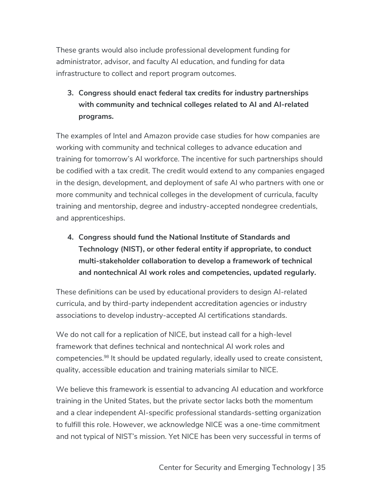These grants would also include professional development funding for administrator, advisor, and faculty AI education, and funding for data infrastructure to collect and report program outcomes.

# **3. Congress should enact federal tax credits for industry partnerships with community and technical colleges related to AI and AI-related programs.**

The examples of Intel and Amazon provide case studies for how companies are working with community and technical colleges to advance education and training for tomorrow's AI workforce. The incentive for such partnerships should be codified with a tax credit. The credit would extend to any companies engaged in the design, development, and deployment of safe AI who partners with one or more community and technical colleges in the development of curricula, faculty training and mentorship, degree and industry-accepted nondegree credentials, and apprenticeships.

**4. Congress should fund the National Institute of Standards and Technology (NIST), or other federal entity if appropriate, to conduct multi-stakeholder collaboration to develop a framework of technical and nontechnical AI work roles and competencies, updated regularly.** 

These definitions can be used by educational providers to design AI-related curricula, and by third-party independent accreditation agencies or industry associations to develop industry-accepted AI certifications standards.

We do not call for a replication of NICE, but instead call for a high-level framework that defines technical and nontechnical AI work roles and competencies.98 It should be updated regularly, ideally used to create consistent, quality, accessible education and training materials similar to NICE.

We believe this framework is essential to advancing AI education and workforce training in the United States, but the private sector lacks both the momentum and a clear independent AI-specific professional standards-setting organization to fulfill this role. However, we acknowledge NICE was a one-time commitment and not typical of NIST's mission. Yet NICE has been very successful in terms of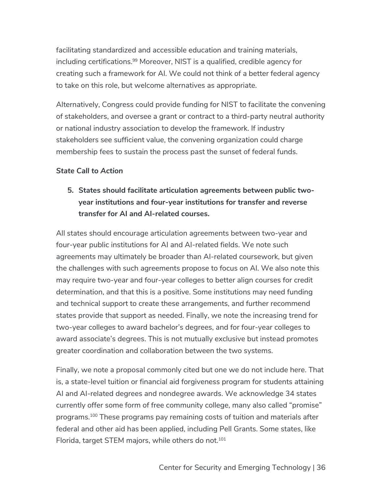facilitating standardized and accessible education and training materials, including certifications.<sup>99</sup> Moreover, NIST is a qualified, credible agency for creating such a framework for AI. We could not think of a better federal agency to take on this role, but welcome alternatives as appropriate.

Alternatively, Congress could provide funding for NIST to facilitate the convening of stakeholders, and oversee a grant or contract to a third-party neutral authority or national industry association to develop the framework. If industry stakeholders see sufficient value, the convening organization could charge membership fees to sustain the process past the sunset of federal funds.

## *State Call to Action*

# **5. States should facilitate articulation agreements between public twoyear institutions and four-year institutions for transfer and reverse transfer for AI and AI-related courses.**

All states should encourage articulation agreements between two-year and four-year public institutions for AI and AI-related fields. We note such agreements may ultimately be broader than AI-related coursework, but given the challenges with such agreements propose to focus on AI. We also note this may require two-year and four-year colleges to better align courses for credit determination, and that this is a positive. Some institutions may need funding and technical support to create these arrangements, and further recommend states provide that support as needed. Finally, we note the increasing trend for two-year colleges to award bachelor's degrees, and for four-year colleges to award associate's degrees. This is not mutually exclusive but instead promotes greater coordination and collaboration between the two systems.

Finally, we note a proposal commonly cited but one we do not include here. That is, a state-level tuition or financial aid forgiveness program for students attaining AI and AI-related degrees and nondegree awards. We acknowledge 34 states currently offer some form of free community college, many also called "promise" programs.100 These programs pay remaining costs of tuition and materials after federal and other aid has been applied, including Pell Grants. Some states, like Florida, target STEM majors, while others do not.<sup>101</sup>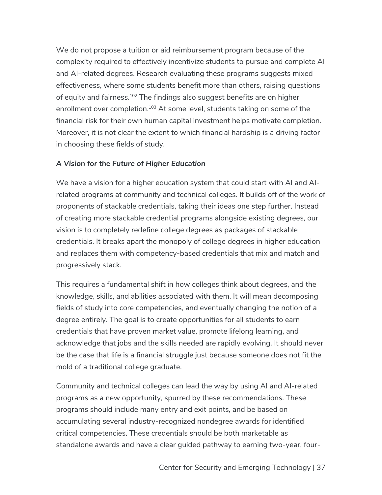We do not propose a tuition or aid reimbursement program because of the complexity required to effectively incentivize students to pursue and complete AI and AI-related degrees. Research evaluating these programs suggests mixed effectiveness, where some students benefit more than others, raising questions of equity and fairness.<sup>102</sup> The findings also suggest benefits are on higher enrollment over completion.<sup>103</sup> At some level, students taking on some of the financial risk for their own human capital investment helps motivate completion. Moreover, it is not clear the extent to which financial hardship is a driving factor in choosing these fields of study.

#### *A Vision for the Future of Higher Education*

We have a vision for a higher education system that could start with AI and AIrelated programs at community and technical colleges. It builds off of the work of proponents of stackable credentials, taking their ideas one step further. Instead of creating more stackable credential programs alongside existing degrees, our vision is to completely redefine college degrees as packages of stackable credentials. It breaks apart the monopoly of college degrees in higher education and replaces them with competency-based credentials that mix and match and progressively stack.

This requires a fundamental shift in how colleges think about degrees, and the knowledge, skills, and abilities associated with them. It will mean decomposing fields of study into core competencies, and eventually changing the notion of a degree entirely. The goal is to create opportunities for all students to earn credentials that have proven market value, promote lifelong learning, and acknowledge that jobs and the skills needed are rapidly evolving. It should never be the case that life is a financial struggle just because someone does not fit the mold of a traditional college graduate.

Community and technical colleges can lead the way by using AI and AI-related programs as a new opportunity, spurred by these recommendations. These programs should include many entry and exit points, and be based on accumulating several industry-recognized nondegree awards for identified critical competencies. These credentials should be both marketable as standalone awards and have a clear guided pathway to earning two-year, four-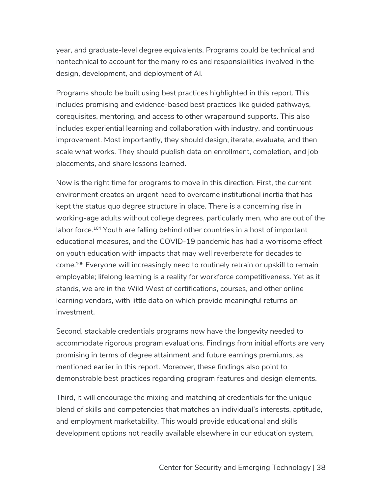year, and graduate-level degree equivalents. Programs could be technical and nontechnical to account for the many roles and responsibilities involved in the design, development, and deployment of AI.

Programs should be built using best practices highlighted in this report. This includes promising and evidence-based best practices like guided pathways, corequisites, mentoring, and access to other wraparound supports. This also includes experiential learning and collaboration with industry, and continuous improvement. Most importantly, they should design, iterate, evaluate, and then scale what works. They should publish data on enrollment, completion, and job placements, and share lessons learned.

Now is the right time for programs to move in this direction. First, the current environment creates an urgent need to overcome institutional inertia that has kept the status quo degree structure in place. There is a concerning rise in working-age adults without college degrees, particularly men, who are out of the labor force.<sup>104</sup> Youth are falling behind other countries in a host of important educational measures, and the COVID-19 pandemic has had a worrisome effect on youth education with impacts that may well reverberate for decades to come.105 Everyone will increasingly need to routinely retrain or upskill to remain employable; lifelong learning is a reality for workforce competitiveness. Yet as it stands, we are in the Wild West of certifications, courses, and other online learning vendors, with little data on which provide meaningful returns on investment.

Second, stackable credentials programs now have the longevity needed to accommodate rigorous program evaluations. Findings from initial efforts are very promising in terms of degree attainment and future earnings premiums, as mentioned earlier in this report. Moreover, these findings also point to demonstrable best practices regarding program features and design elements.

Third, it will encourage the mixing and matching of credentials for the unique blend of skills and competencies that matches an individual's interests, aptitude, and employment marketability. This would provide educational and skills development options not readily available elsewhere in our education system,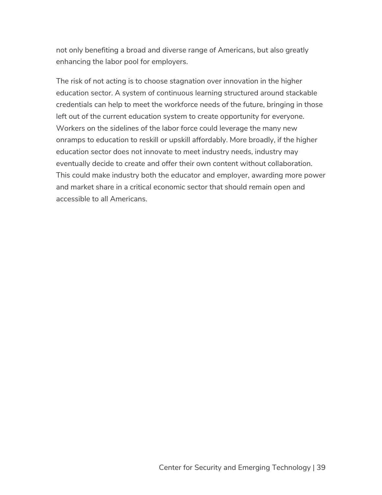not only benefiting a broad and diverse range of Americans, but also greatly enhancing the labor pool for employers.

The risk of not acting is to choose stagnation over innovation in the higher education sector. A system of continuous learning structured around stackable credentials can help to meet the workforce needs of the future, bringing in those left out of the current education system to create opportunity for everyone. Workers on the sidelines of the labor force could leverage the many new onramps to education to reskill or upskill affordably. More broadly, if the higher education sector does not innovate to meet industry needs, industry may eventually decide to create and offer their own content without collaboration. This could make industry both the educator and employer, awarding more power and market share in a critical economic sector that should remain open and accessible to all Americans.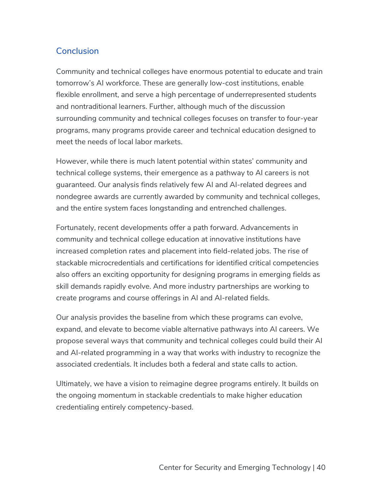## Conclusion

Community and technical colleges have enormous potential to educate and train tomorrow's AI workforce. These are generally low-cost institutions, enable flexible enrollment, and serve a high percentage of underrepresented students and nontraditional learners. Further, although much of the discussion surrounding community and technical colleges focuses on transfer to four-year programs, many programs provide career and technical education designed to meet the needs of local labor markets.

However, while there is much latent potential within states' community and technical college systems, their emergence as a pathway to AI careers is not guaranteed. Our analysis finds relatively few AI and AI-related degrees and nondegree awards are currently awarded by community and technical colleges, and the entire system faces longstanding and entrenched challenges.

Fortunately, recent developments offer a path forward. Advancements in community and technical college education at innovative institutions have increased completion rates and placement into field-related jobs. The rise of stackable microcredentials and certifications for identified critical competencies also offers an exciting opportunity for designing programs in emerging fields as skill demands rapidly evolve. And more industry partnerships are working to create programs and course offerings in AI and AI-related fields.

Our analysis provides the baseline from which these programs can evolve, expand, and elevate to become viable alternative pathways into AI careers. We propose several ways that community and technical colleges could build their AI and AI-related programming in a way that works with industry to recognize the associated credentials. It includes both a federal and state calls to action.

Ultimately, we have a vision to reimagine degree programs entirely. It builds on the ongoing momentum in stackable credentials to make higher education credentialing entirely competency-based.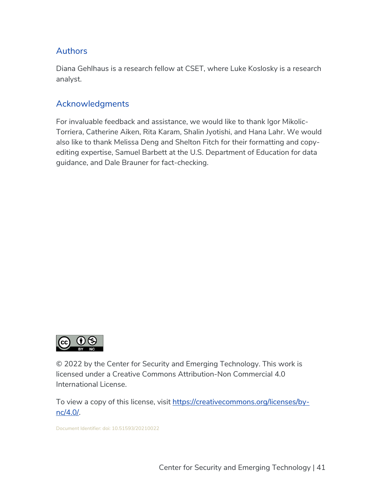## Authors

Diana Gehlhaus is a research fellow at CSET, where Luke Koslosky is a research analyst.

## Acknowledgments

For invaluable feedback and assistance, we would like to thank Igor Mikolic-Torriera, Catherine Aiken, Rita Karam, Shalin Jyotishi, and Hana Lahr. We would also like to thank Melissa Deng and Shelton Fitch for their formatting and copyediting expertise, Samuel Barbett at the U.S. Department of Education for data guidance, and Dale Brauner for fact-checking.



© 2022 by the Center for Security and Emerging Technology. This work is licensed under a Creative Commons Attribution-Non Commercial 4.0 International License.

To view a copy of this license, visit https://creativecommons.org/licenses/bync/4.0/.

Document Identifier: doi: 10.51593/20210022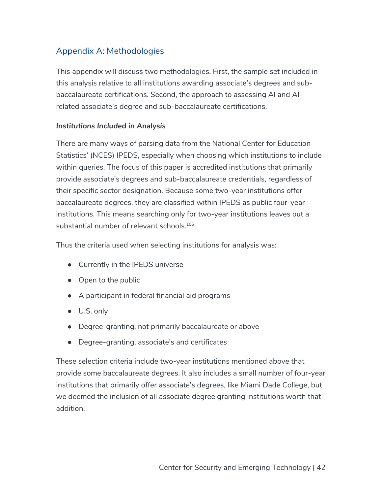# Appendix A: Methodologies

This appendix will discuss two methodologies. First, the sample set included in this analysis relative to all institutions awarding associate's degrees and subbaccalaureate certifications. Second, the approach to assessing AI and AIrelated associate's degree and sub-baccalaureate certifications.

#### *Institutions Included in Analysis*

There are many ways of parsing data from the National Center for Education Statistics' (NCES) IPEDS, especially when choosing which institutions to include within queries. The focus of this paper is accredited institutions that primarily provide associate's degrees and sub-baccalaureate credentials, regardless of their specific sector designation. Because some two-year institutions offer baccalaureate degrees, they are classified within IPEDS as public four-year institutions. This means searching only for two-year institutions leaves out a substantial number of relevant schools.<sup>106</sup>

Thus the criteria used when selecting institutions for analysis was:

- Currently in the IPEDS universe
- Open to the public
- A participant in federal financial aid programs
- U.S. only
- Degree-granting, not primarily baccalaureate or above
- Degree-granting, associate's and certificates

These selection criteria include two-year institutions mentioned above that provide some baccalaureate degrees. It also includes a small number of four-year institutions that primarily offer associate's degrees, like Miami Dade College, but we deemed the inclusion of all associate degree granting institutions worth that addition.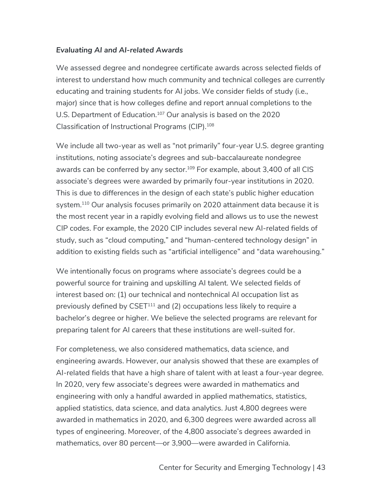## *Evaluating AI and AI-related Awards*

We assessed degree and nondegree certificate awards across selected fields of interest to understand how much community and technical colleges are currently educating and training students for AI jobs. We consider fields of study (i.e., major) since that is how colleges define and report annual completions to the U.S. Department of Education.<sup>107</sup> Our analysis is based on the 2020 Classification of Instructional Programs (CIP).108

We include all two-year as well as "not primarily" four-year U.S. degree granting institutions, noting associate's degrees and sub-baccalaureate nondegree awards can be conferred by any sector.<sup>109</sup> For example, about 3,400 of all CIS associate's degrees were awarded by primarily four-year institutions in 2020. This is due to differences in the design of each state's public higher education system.<sup>110</sup> Our analysis focuses primarily on 2020 attainment data because it is the most recent year in a rapidly evolving field and allows us to use the newest CIP codes. For example, the 2020 CIP includes several new AI-related fields of study, such as "cloud computing," and "human-centered technology design" in addition to existing fields such as "artificial intelligence" and "data warehousing."

We intentionally focus on programs where associate's degrees could be a powerful source for training and upskilling AI talent. We selected fields of interest based on: (1) our technical and nontechnical AI occupation list as previously defined by CSET<sup>111</sup> and (2) occupations less likely to require a bachelor's degree or higher. We believe the selected programs are relevant for preparing talent for AI careers that these institutions are well-suited for.

For completeness, we also considered mathematics, data science, and engineering awards. However, our analysis showed that these are examples of AI-related fields that have a high share of talent with at least a four-year degree. In 2020, very few associate's degrees were awarded in mathematics and engineering with only a handful awarded in applied mathematics, statistics, applied statistics, data science, and data analytics. Just 4,800 degrees were awarded in mathematics in 2020, and 6,300 degrees were awarded across all types of engineering. Moreover, of the 4,800 associate's degrees awarded in mathematics, over 80 percent—or 3,900—were awarded in California.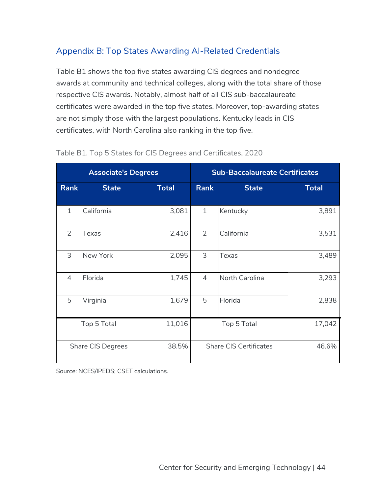# Appendix B: Top States Awarding AI-Related Credentials

Table B1 shows the top five states awarding CIS degrees and nondegree awards at community and technical colleges, along with the total share of those respective CIS awards. Notably, almost half of all CIS sub-baccalaureate certificates were awarded in the top five states. Moreover, top-awarding states are not simply those with the largest populations. Kentucky leads in CIS certificates, with North Carolina also ranking in the top five.

| <b>Associate's Degrees</b> |                   |              | <b>Sub-Baccalaureate Certificates</b> |              |              |
|----------------------------|-------------------|--------------|---------------------------------------|--------------|--------------|
| <b>Rank</b>                | <b>State</b>      | <b>Total</b> | <b>Rank</b>                           | <b>State</b> | <b>Total</b> |
| $\mathbf{1}$               | California        | 3,081        | $\mathbf{1}$                          | Kentucky     | 3,891        |
| 2                          | <b>Texas</b>      | 2,416        | $\overline{2}$                        | California   | 3,531        |
| 3                          | New York          | 2,095        | 3                                     | Texas        | 3,489        |
| $\overline{4}$             | Florida           | 1,745        | $\overline{4}$<br>North Carolina      |              | 3,293        |
| 5                          | Virginia          | 1,679        | 5<br>Florida                          |              | 2,838        |
|                            | Top 5 Total       | 11,016       | Top 5 Total                           |              | 17,042       |
|                            | Share CIS Degrees | 38.5%        | <b>Share CIS Certificates</b>         |              | 46.6%        |

#### Table B1. Top 5 States for CIS Degrees and Certificates, 2020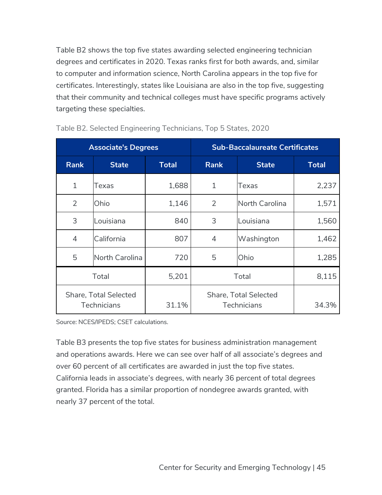Table B2 shows the top five states awarding selected engineering technician degrees and certificates in 2020. Texas ranks first for both awards, and, similar to computer and information science, North Carolina appears in the top five for certificates. Interestingly, states like Louisiana are also in the top five, suggesting that their community and technical colleges must have specific programs actively targeting these specialties.

| <b>Associate's Degrees</b> |                                             |              | <b>Sub-Baccalaureate Certificates</b>       |                |              |
|----------------------------|---------------------------------------------|--------------|---------------------------------------------|----------------|--------------|
| <b>Rank</b>                | <b>State</b>                                | <b>Total</b> | <b>Rank</b>                                 | <b>State</b>   | <b>Total</b> |
| $\mathbf 1$                | Texas                                       | 1,688        | $\mathbf{1}$                                | Texas          | 2,237        |
| 2                          | Ohio                                        | 1,146        | 2                                           | North Carolina | 1,571        |
| 3                          | Louisiana                                   | 840          | 3                                           | Louisiana      | 1,560        |
| 4                          | California                                  | 807          | 4                                           | Washington     | 1,462        |
| 5                          | North Carolina                              | 720          | 5                                           | Ohio           | 1,285        |
|                            | Total                                       | 5,201        | Total                                       |                | 8,115        |
|                            | Share, Total Selected<br><b>Technicians</b> | 31.1%        | Share, Total Selected<br><b>Technicians</b> |                | 34.3%        |

Table B2. Selected Engineering Technicians, Top 5 States, 2020

Source: NCES/IPEDS; CSET calculations.

Table B3 presents the top five states for business administration management and operations awards. Here we can see over half of all associate's degrees and over 60 percent of all certificates are awarded in just the top five states. California leads in associate's degrees, with nearly 36 percent of total degrees granted. Florida has a similar proportion of nondegree awards granted, with nearly 37 percent of the total.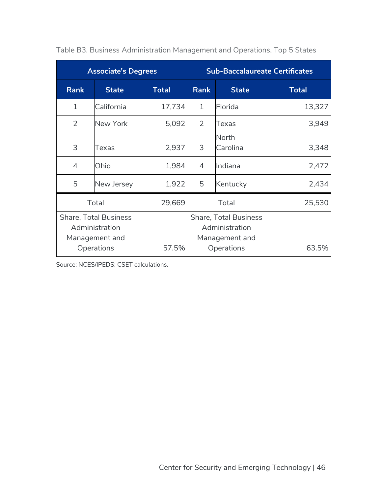| <b>Associate's Degrees</b> |                                                                                |              | <b>Sub-Baccalaureate Certificates</b>                                          |              |              |
|----------------------------|--------------------------------------------------------------------------------|--------------|--------------------------------------------------------------------------------|--------------|--------------|
| <b>Rank</b>                | <b>State</b>                                                                   | <b>Total</b> | <b>Rank</b>                                                                    | <b>State</b> | <b>Total</b> |
| $\mathbf{1}$               | California                                                                     | 17,734       | $\mathbf{1}$                                                                   | Florida      | 13,327       |
| 2                          | New York                                                                       | 5,092        | 2<br>Texas                                                                     |              | 3,949        |
| 3                          | Texas                                                                          | 2,937        | North<br>3<br>Carolina                                                         |              | 3,348        |
| $\overline{4}$             | Ohio                                                                           | 1,984        | Indiana<br>$\overline{4}$                                                      |              | 2,472        |
| 5                          | New Jersey                                                                     | 1,922        | 5<br>Kentucky                                                                  |              | 2,434        |
|                            | Total                                                                          | 29,669       | Total                                                                          |              | 25,530       |
|                            | <b>Share, Total Business</b><br>Administration<br>Management and<br>Operations | 57.5%        | <b>Share, Total Business</b><br>Administration<br>Management and<br>Operations |              | 63.5%        |

Table B3. Business Administration Management and Operations, Top 5 States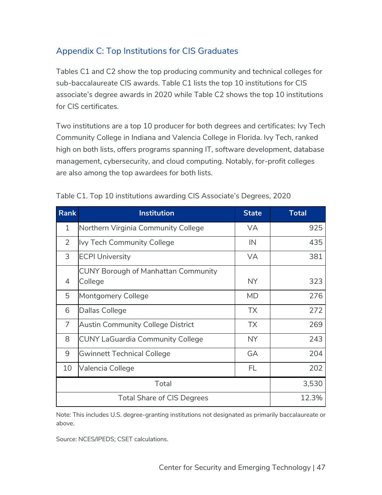# Appendix C: Top Institutions for CIS Graduates

Tables C1 and C2 show the top producing community and technical colleges for sub-baccalaureate CIS awards. Table C1 lists the top 10 institutions for CIS associate's degree awards in 2020 while Table C2 shows the top 10 institutions for CIS certificates.

Two institutions are a top 10 producer for both degrees and certificates: Ivy Tech Community College in Indiana and Valencia College in Florida. Ivy Tech, ranked high on both lists, offers programs spanning IT, software development, database management, cybersecurity, and cloud computing. Notably, for-profit colleges are also among the top awardees for both lists.

| <b>Rank</b>    | <b>Institution</b>                                    | <b>State</b> | <b>Total</b> |
|----------------|-------------------------------------------------------|--------------|--------------|
| $\mathbf{1}$   | Northern Virginia Community College                   | <b>VA</b>    | 925          |
| $\overline{2}$ | Ivy Tech Community College                            | IN           | 435          |
| 3              | <b>ECPI University</b>                                | <b>VA</b>    | 381          |
| 4              | <b>CUNY Borough of Manhattan Community</b><br>College | NY.          | 323          |
| 5              | <b>Montgomery College</b>                             | <b>MD</b>    | 276          |
| 6              | Dallas College                                        | <b>TX</b>    | 272          |
| $\overline{7}$ | <b>Austin Community College District</b>              | <b>TX</b>    | 269          |
| 8              | <b>CUNY LaGuardia Community College</b>               | NY.          | 243          |
| 9              | Gwinnett Technical College                            | GA           | 204          |
| 10             | Valencia College                                      | FL           | 202          |
| Total          |                                                       |              | 3,530        |
|                | <b>Total Share of CIS Degrees</b>                     |              | 12.3%        |

Table C1. Top 10 institutions awarding CIS Associate's Degrees, 2020

Note: This includes U.S. degree-granting institutions not designated as primarily baccalaureate or above.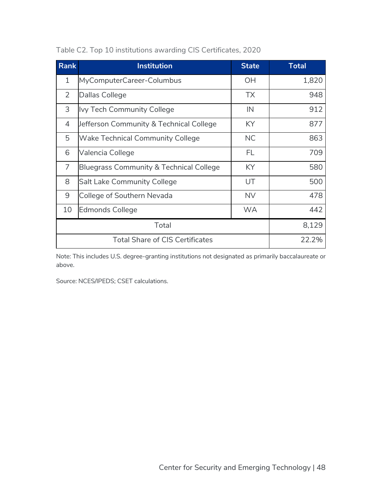| <b>Rank</b>    | <b>Institution</b>                      | <b>State</b> | <b>Total</b> |
|----------------|-----------------------------------------|--------------|--------------|
| 1              | MyComputerCareer-Columbus               | <b>OH</b>    | 1,820        |
| $\overline{2}$ | Dallas College                          | <b>TX</b>    | 948          |
| 3              | <b>Ivy Tech Community College</b>       | IN           | 912          |
| 4              | Jefferson Community & Technical College | KY.          | 877          |
| 5              | <b>Wake Technical Community College</b> | <b>NC</b>    | 863          |
| 6              | Valencia College                        | FL           | 709          |
| $\overline{7}$ | Bluegrass Community & Technical College | KY.          | 580          |
| 8              | <b>Salt Lake Community College</b>      | UT           | 500          |
| 9              | College of Southern Nevada              | <b>NV</b>    | 478          |
| 10             | <b>Edmonds College</b>                  | <b>WA</b>    | 442          |
| Total          |                                         |              | 8,129        |
|                | <b>Total Share of CIS Certificates</b>  |              | 22.2%        |

Table C2. Top 10 institutions awarding CIS Certificates, 2020

Note: This includes U.S. degree-granting institutions not designated as primarily baccalaureate or above.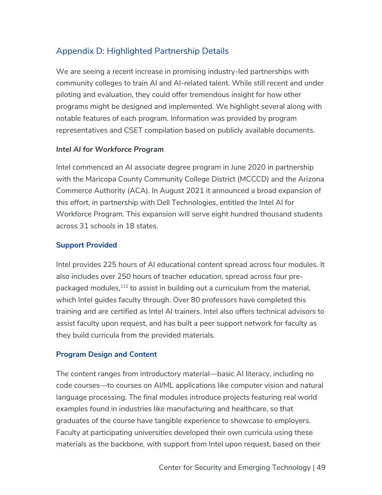# Appendix D: Highlighted Partnership Details

We are seeing a recent increase in promising industry-led partnerships with community colleges to train AI and AI-related talent. While still recent and under piloting and evaluation, they could offer tremendous insight for how other programs might be designed and implemented. We highlight several along with notable features of each program. Information was provided by program representatives and CSET compilation based on publicly available documents.

#### *Intel AI for Workforce Program*

Intel commenced an AI associate degree program in June 2020 in partnership with the Maricopa County Community College District (MCCCD) and the Arizona Commerce Authority (ACA). In August 2021 it announced a broad expansion of this effort, in partnership with Dell Technologies, entitled the Intel AI for Workforce Program. This expansion will serve eight hundred thousand students across 31 schools in 18 states.

#### **Support Provided**

Intel provides 225 hours of AI educational content spread across four modules. It also includes over 250 hours of teacher education, spread across four prepackaged modules, $112$  to assist in building out a curriculum from the material, which Intel guides faculty through. Over 80 professors have completed this training and are certified as Intel AI trainers. Intel also offers technical advisors to assist faculty upon request, and has built a peer support network for faculty as they build curricula from the provided materials.

#### **Program Design and Content**

The content ranges from introductory material––basic AI literacy, including no code courses––to courses on AI/ML applications like computer vision and natural language processing. The final modules introduce projects featuring real world examples found in industries like manufacturing and healthcare, so that graduates of the course have tangible experience to showcase to employers. Faculty at participating universities developed their own curricula using these materials as the backbone, with support from Intel upon request, based on their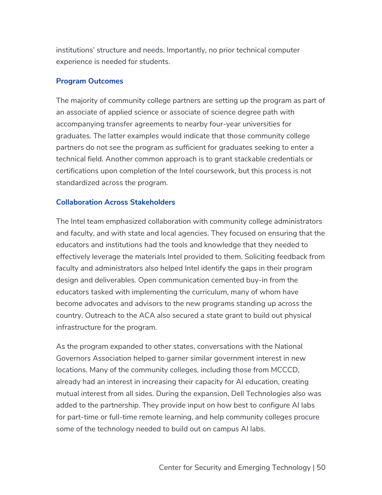institutions' structure and needs. Importantly, no prior technical computer experience is needed for students.

#### **Program Outcomes**

The majority of community college partners are setting up the program as part of an associate of applied science or associate of science degree path with accompanying transfer agreements to nearby four-year universities for graduates. The latter examples would indicate that those community college partners do not see the program as sufficient for graduates seeking to enter a technical field. Another common approach is to grant stackable credentials or certifications upon completion of the Intel coursework, but this process is not standardized across the program.

#### **Collaboration Across Stakeholders**

The Intel team emphasized collaboration with community college administrators and faculty, and with state and local agencies. They focused on ensuring that the educators and institutions had the tools and knowledge that they needed to effectively leverage the materials Intel provided to them. Soliciting feedback from faculty and administrators also helped Intel identify the gaps in their program design and deliverables. Open communication cemented buy-in from the educators tasked with implementing the curriculum, many of whom have become advocates and advisors to the new programs standing up across the country. Outreach to the ACA also secured a state grant to build out physical infrastructure for the program.

As the program expanded to other states, conversations with the National Governors Association helped to garner similar government interest in new locations. Many of the community colleges, including those from MCCCD, already had an interest in increasing their capacity for AI education, creating mutual interest from all sides. During the expansion, Dell Technologies also was added to the partnership. They provide input on how best to configure AI labs for part-time or full-time remote learning, and help community colleges procure some of the technology needed to build out on campus AI labs.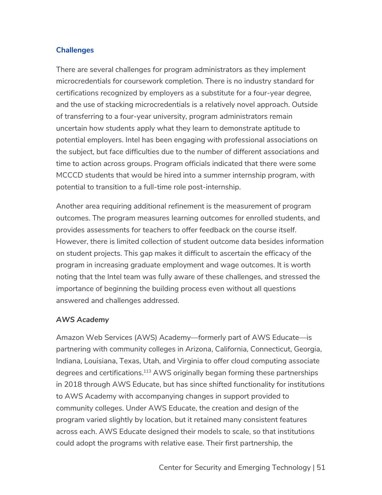## **Challenges**

There are several challenges for program administrators as they implement microcredentials for coursework completion. There is no industry standard for certifications recognized by employers as a substitute for a four-year degree, and the use of stacking microcredentials is a relatively novel approach. Outside of transferring to a four-year university, program administrators remain uncertain how students apply what they learn to demonstrate aptitude to potential employers. Intel has been engaging with professional associations on the subject, but face difficulties due to the number of different associations and time to action across groups. Program officials indicated that there were some MCCCD students that would be hired into a summer internship program, with potential to transition to a full-time role post-internship.

Another area requiring additional refinement is the measurement of program outcomes. The program measures learning outcomes for enrolled students, and provides assessments for teachers to offer feedback on the course itself. However, there is limited collection of student outcome data besides information on student projects. This gap makes it difficult to ascertain the efficacy of the program in increasing graduate employment and wage outcomes. It is worth noting that the Intel team was fully aware of these challenges, and stressed the importance of beginning the building process even without all questions answered and challenges addressed.

#### *AWS Academy*

Amazon Web Services (AWS) Academy—formerly part of AWS Educate—is partnering with community colleges in Arizona, California, Connecticut, Georgia, Indiana, Louisiana, Texas, Utah, and Virginia to offer cloud computing associate degrees and certifications.<sup>113</sup> AWS originally began forming these partnerships in 2018 through AWS Educate, but has since shifted functionality for institutions to AWS Academy with accompanying changes in support provided to community colleges. Under AWS Educate, the creation and design of the program varied slightly by location, but it retained many consistent features across each. AWS Educate designed their models to scale, so that institutions could adopt the programs with relative ease. Their first partnership, the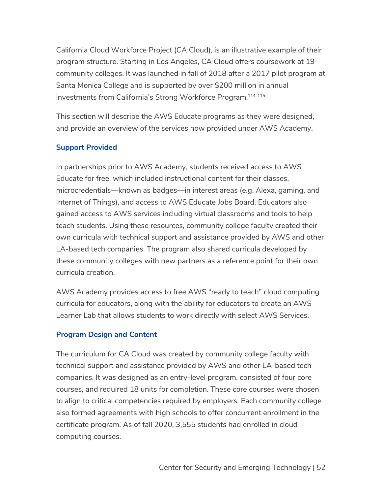California Cloud Workforce Project (CA Cloud), is an illustrative example of their program structure. Starting in Los Angeles, CA Cloud offers coursework at 19 community colleges. It was launched in fall of 2018 after a 2017 pilot program at Santa Monica College and is supported by over \$200 million in annual investments from California's Strong Workforce Program.<sup>114 115</sup>

This section will describe the AWS Educate programs as they were designed, and provide an overview of the services now provided under AWS Academy.

## **Support Provided**

In partnerships prior to AWS Academy, students received access to AWS Educate for free, which included instructional content for their classes, microcredentials––known as badges––in interest areas (e.g. Alexa, gaming, and Internet of Things), and access to AWS Educate Jobs Board. Educators also gained access to AWS services including virtual classrooms and tools to help teach students. Using these resources, community college faculty created their own curricula with technical support and assistance provided by AWS and other LA-based tech companies. The program also shared curricula developed by these community colleges with new partners as a reference point for their own curricula creation.

AWS Academy provides access to free AWS "ready to teach" cloud computing curricula for educators, along with the ability for educators to create an AWS Learner Lab that allows students to work directly with select AWS Services.

## **Program Design and Content**

The curriculum for CA Cloud was created by community college faculty with technical support and assistance provided by AWS and other LA-based tech companies. It was designed as an entry-level program, consisted of four core courses, and required 18 units for completion. These core courses were chosen to align to critical competencies required by employers. Each community college also formed agreements with high schools to offer concurrent enrollment in the certificate program. As of fall 2020, 3,555 students had enrolled in cloud computing courses.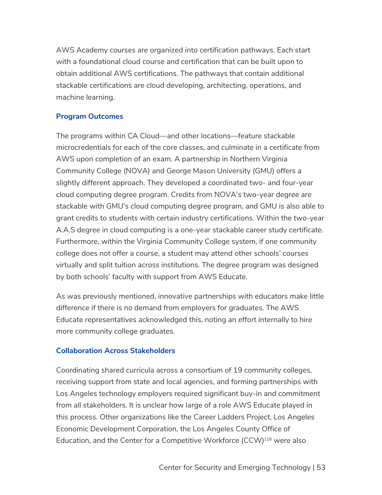AWS Academy courses are organized into certification pathways. Each start with a foundational cloud course and certification that can be built upon to obtain additional AWS certifications. The pathways that contain additional stackable certifications are cloud developing, architecting, operations, and machine learning.

#### **Program Outcomes**

The programs within CA Cloud––and other locations––feature stackable microcredentials for each of the core classes, and culminate in a certificate from AWS upon completion of an exam. A partnership in Northern Virginia Community College (NOVA) and George Mason University (GMU) offers a slightly different approach. They developed a coordinated two- and four-year cloud computing degree program. Credits from NOVA's two-year degree are stackable with GMU's cloud computing degree program, and GMU is also able to grant credits to students with certain industry certifications. Within the two-year A.A.S degree in cloud computing is a one-year stackable career study certificate. Furthermore, within the Virginia Community College system, if one community college does not offer a course, a student may attend other schools' courses virtually and split tuition across institutions. The degree program was designed by both schools' faculty with support from AWS Educate.

As was previously mentioned, innovative partnerships with educators make little difference if there is no demand from employers for graduates. The AWS Educate representatives acknowledged this, noting an effort internally to hire more community college graduates.

#### **Collaboration Across Stakeholders**

Coordinating shared curricula across a consortium of 19 community colleges, receiving support from state and local agencies, and forming partnerships with Los Angeles technology employers required significant buy-in and commitment from all stakeholders. It is unclear how large of a role AWS Educate played in this process. Other organizations like the Career Ladders Project, Los Angeles Economic Development Corporation, the Los Angeles County Office of Education, and the Center for a Competitive Workforce (CCW)<sup>116</sup> were also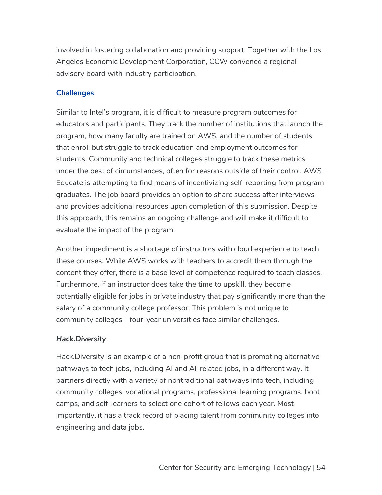involved in fostering collaboration and providing support. Together with the Los Angeles Economic Development Corporation, CCW convened a regional advisory board with industry participation.

## **Challenges**

Similar to Intel's program, it is difficult to measure program outcomes for educators and participants. They track the number of institutions that launch the program, how many faculty are trained on AWS, and the number of students that enroll but struggle to track education and employment outcomes for students. Community and technical colleges struggle to track these metrics under the best of circumstances, often for reasons outside of their control. AWS Educate is attempting to find means of incentivizing self-reporting from program graduates. The job board provides an option to share success after interviews and provides additional resources upon completion of this submission. Despite this approach, this remains an ongoing challenge and will make it difficult to evaluate the impact of the program.

Another impediment is a shortage of instructors with cloud experience to teach these courses. While AWS works with teachers to accredit them through the content they offer, there is a base level of competence required to teach classes. Furthermore, if an instructor does take the time to upskill, they become potentially eligible for jobs in private industry that pay significantly more than the salary of a community college professor. This problem is not unique to community colleges––four-year universities face similar challenges.

## *Hack.Diversity*

Hack.Diversity is an example of a non-profit group that is promoting alternative pathways to tech jobs, including AI and AI-related jobs, in a different way. It partners directly with a variety of nontraditional pathways into tech, including community colleges, vocational programs, professional learning programs, boot camps, and self-learners to select one cohort of fellows each year. Most importantly, it has a track record of placing talent from community colleges into engineering and data jobs.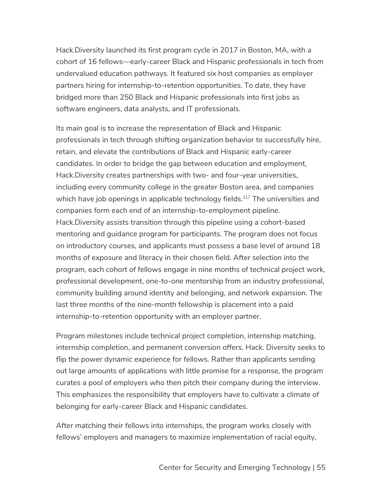Hack.Diversity launched its first program cycle in 2017 in Boston, MA, with a cohort of 16 fellows—early-career Black and Hispanic professionals in tech from undervalued education pathways. It featured six host companies as employer partners hiring for internship-to-retention opportunities. To date, they have bridged more than 250 Black and Hispanic professionals into first jobs as software engineers, data analysts, and IT professionals.

Its main goal is to increase the representation of Black and Hispanic professionals in tech through shifting organization behavior to successfully hire, retain, and elevate the contributions of Black and Hispanic early-career candidates. In order to bridge the gap between education and employment, Hack.Diversity creates partnerships with two- and four-year universities, including every community college in the greater Boston area, and companies which have job openings in applicable technology fields.<sup>117</sup> The universities and companies form each end of an internship-to-employment pipeline. Hack.Diversity assists transition through this pipeline using a cohort-based mentoring and guidance program for participants. The program does not focus on introductory courses, and applicants must possess a base level of around 18 months of exposure and literacy in their chosen field. After selection into the program, each cohort of fellows engage in nine months of technical project work, professional development, one-to-one mentorship from an industry professional, community building around identity and belonging, and network expansion. The last three months of the nine-month fellowship is placement into a paid internship-to-retention opportunity with an employer partner.

Program milestones include technical project completion, internship matching, internship completion, and permanent conversion offers. Hack. Diversity seeks to flip the power dynamic experience for fellows. Rather than applicants sending out large amounts of applications with little promise for a response, the program curates a pool of employers who then pitch their company during the interview. This emphasizes the responsibility that employers have to cultivate a climate of belonging for early-career Black and Hispanic candidates.

After matching their fellows into internships, the program works closely with fellows' employers and managers to maximize implementation of racial equity,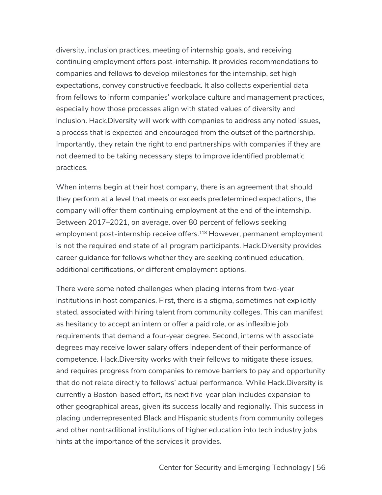diversity, inclusion practices, meeting of internship goals, and receiving continuing employment offers post-internship. It provides recommendations to companies and fellows to develop milestones for the internship, set high expectations, convey constructive feedback. It also collects experiential data from fellows to inform companies' workplace culture and management practices, especially how those processes align with stated values of diversity and inclusion. Hack.Diversity will work with companies to address any noted issues, a process that is expected and encouraged from the outset of the partnership. Importantly, they retain the right to end partnerships with companies if they are not deemed to be taking necessary steps to improve identified problematic practices.

When interns begin at their host company, there is an agreement that should they perform at a level that meets or exceeds predetermined expectations, the company will offer them continuing employment at the end of the internship. Between 2017–2021, on average, over 80 percent of fellows seeking employment post-internship receive offers.<sup>118</sup> However, permanent employment is not the required end state of all program participants. Hack.Diversity provides career guidance for fellows whether they are seeking continued education, additional certifications, or different employment options.

There were some noted challenges when placing interns from two-year institutions in host companies. First, there is a stigma, sometimes not explicitly stated, associated with hiring talent from community colleges. This can manifest as hesitancy to accept an intern or offer a paid role, or as inflexible job requirements that demand a four-year degree. Second, interns with associate degrees may receive lower salary offers independent of their performance of competence. Hack.Diversity works with their fellows to mitigate these issues, and requires progress from companies to remove barriers to pay and opportunity that do not relate directly to fellows' actual performance. While Hack.Diversity is currently a Boston-based effort, its next five-year plan includes expansion to other geographical areas, given its success locally and regionally. This success in placing underrepresented Black and Hispanic students from community colleges and other nontraditional institutions of higher education into tech industry jobs hints at the importance of the services it provides.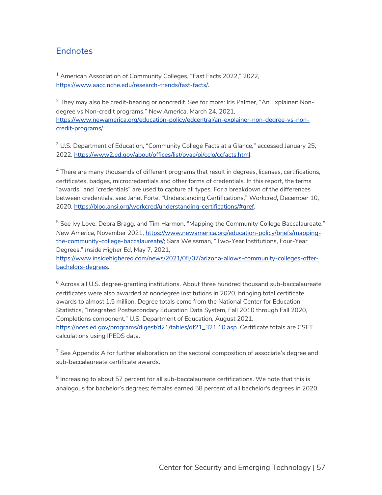## **Endnotes**

<sup>1</sup> American Association of Community Colleges, "Fast Facts 2022," 2022, https://www.aacc.nche.edu/research-trends/fast-facts/.

 $2$  They may also be credit-bearing or noncredit. See for more: Iris Palmer, "An Explainer: Nondegree vs Non-credit programs," *New America*, March 24, 2021, https://www.newamerica.org/education-policy/edcentral/an-explainer-non-degree-vs-noncredit-programs/.

<sup>3</sup> U.S. Department of Education, "Community College Facts at a Glance," accessed January 25, 2022, https://www2.ed.gov/about/offices/list/ovae/pi/cclo/ccfacts.html.

 $4$  There are many thousands of different programs that result in degrees, licenses, certifications, certificates, badges, microcredentials and other forms of credentials. In this report, the terms "awards" and "credentials" are used to capture all types. For a breakdown of the differences between credentials, see: Janet Forte, "Understanding Certifications," *Workcred*, December 10, 2020, https://blog.ansi.org/workcred/understanding-certifications/#gref.

<sup>5</sup> See Ivy Love, Debra Bragg, and Tim Harmon, "Mapping the Community College Baccalaureate," *New America*, November 2021, https://www.newamerica.org/education-policy/briefs/mappingthe-community-college-baccalaureate/; Sara Weissman, "Two-Year Institutions, Four-Year Degrees," *Inside Higher Ed*, May 7, 2021,

https://www.insidehighered.com/news/2021/05/07/arizona-allows-community-colleges-offerbachelors-degrees.

 $6$  Across all U.S. degree-granting institutions. About three hundred thousand sub-baccalaureate certificates were also awarded at nondegree institutions in 2020, bringing total certificate awards to almost 1.5 million. Degree totals come from the National Center for Education Statistics, "Integrated Postsecondary Education Data System, Fall 2010 through Fall 2020, Completions component," U.S. Department of Education, August 2021, https://nces.ed.gov/programs/digest/d21/tables/dt21\_321.10.asp. Certificate totals are CSET calculations using IPEDS data.

 $7$  See Appendix A for further elaboration on the sectoral composition of associate's degree and sub-baccalaureate certificate awards.

 $8$  Increasing to about 57 percent for all sub-baccalaureate certifications. We note that this is analogous for bachelor's degrees; females earned 58 percent of all bachelor's degrees in 2020.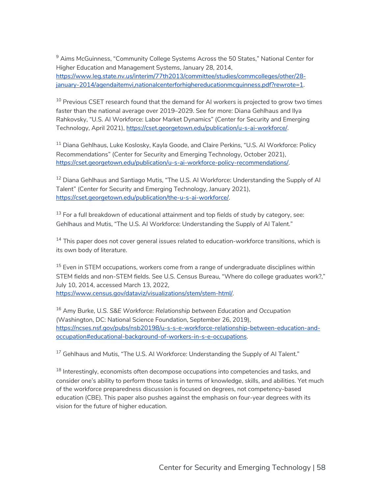$9$  Aims McGuinness, "Community College Systems Across the 50 States," National Center for Higher Education and Management Systems, January 28, 2014, [https://www.leg.state.nv.us/interim/77th2013/committee/studies/commcolleges/other/28](https://www.leg.state.nv.us/interim/77th2013/committee/studies/commcolleges/other/28-january-2014/agendaitemvi,nationalcenterforhighereducationmcguinness.pdf?rewrote=1) january-2014/agendaitemvi,nationalcenterforhighereducationmcguinness.pdf?rewrote=1.

 $10$  Previous CSET research found that the demand for AI workers is projected to grow two times faster than the national average over 2019–2029. See for more: Diana Gehlhaus and Ilya Rahkovsky, "U.S. AI Workforce: Labor Market Dynamics" (Center for Security and Emerging Technology, April 2021), https://cset.georgetown.edu/publication/u-s-ai-workforce/.

<sup>11</sup> Diana Gehlhaus, Luke Koslosky, Kayla Goode, and Claire Perkins, "U.S. Al Workforce: Policy Recommendations" (Center for Security and Emerging Technology, October 2021), https://cset.georgetown.edu/publication/u-s-ai-workforce-policy-recommendations/.

<sup>12</sup> Diana Gehlhaus and Santiago Mutis, "The U.S. AI Workforce: Understanding the Supply of AI Talent" (Center for Security and Emerging Technology, January 2021), https://cset.georgetown.edu/publication/the-u-s-ai-workforce/.

 $13$  For a full breakdown of educational attainment and top fields of study by category, see: Gehlhaus and Mutis, "The U.S. AI Workforce: Understanding the Supply of AI Talent."

 $14$  This paper does not cover general issues related to education-workforce transitions, which is its own body of literature.

<sup>15</sup> Even in STEM occupations, workers come from a range of undergraduate disciplines within STEM fields and non-STEM fields. See U.S. Census Bureau, "Where do college graduates work?," July 10, 2014, accessed March 13, 2022, https://www.census.gov/dataviz/visualizations/stem/stem-html/.

<sup>16</sup> Amy Burke, U*.S. S&E Workforce: Relationship between Education and Occupation* (Washington, DC: National Science Foundation, September 26, 2019), https://ncses.nsf.gov/pubs/nsb20198/u-s-s-e-workforce-relationship-between-education-andoccupation#educational-background-of-workers-in-s-e-occupations.

 $17$  Gehlhaus and Mutis, "The U.S. AI Workforce: Understanding the Supply of AI Talent."

 $18$  Interestingly, economists often decompose occupations into competencies and tasks, and consider one's ability to perform those tasks in terms of knowledge, skills, and abilities. Yet much of the workforce preparedness discussion is focused on degrees, not competency-based education (CBE). This paper also pushes against the emphasis on four-year degrees with its vision for the future of higher education.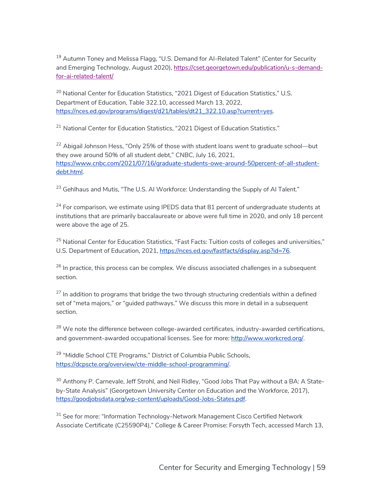<sup>19</sup> Autumn Toney and Melissa Flagg, "U.S. Demand for AI-Related Talent" (Center for Security and Emerging Technology, August 2020), https://cset.georgetown.edu/publication/u-s-demandfor-ai-related-talent/

<sup>20</sup> National Center for Education Statistics, "2021 Digest of Education Statistics," U.S. Department of Education, Table 322.10, accessed March 13, 2022, https://nces.ed.gov/programs/digest/d21/tables/dt21\_322.10.asp?current=yes.

<sup>21</sup> National Center for Education Statistics, "2021 Digest of Education Statistics."

<sup>22</sup> Abigail Johnson Hess, "Only 25% of those with student loans went to graduate school—but they owe around 50% of all student debt," *CNBC*, July 16, 2021, https://www.cnbc.com/2021/07/16/graduate-students-owe-around-50percent-of-all-studentdebt.html.

<sup>23</sup> Gehlhaus and Mutis, "The U.S. AI Workforce: Understanding the Supply of AI Talent."

 $24$  For comparison, we estimate using IPEDS data that 81 percent of undergraduate students at institutions that are primarily baccalaureate or above were full time in 2020, and only 18 percent were above the age of 25.

<sup>25</sup> National Center for Education Statistics, "Fast Facts: Tuition costs of colleges and universities," U.S. Department of Education, 2021, https://nces.ed.gov/fastfacts/display.asp?id=76.

 $26$  In practice, this process can be complex. We discuss associated challenges in a subsequent section.

 $27$  In addition to programs that bridge the two through structuring credentials within a defined set of "meta majors," or "guided pathways." We discuss this more in detail in a subsequent section.

 $28$  We note the difference between college-awarded certificates, industry-awarded certifications, and government-awarded occupational licenses. See for more: http://www.workcred.org/.

<sup>29</sup> "Middle School CTE Programs," District of Columbia Public Schools, https://dcpscte.org/overview/cte-middle-school-programming/.

<sup>30</sup> Anthony P. Carnevale, Jeff Strohl, and Neil Ridley, "Good Jobs That Pay without a BA: A Stateby-State Analysis" (Georgetown University Center on Education and the Workforce, 2017), https://goodjobsdata.org/wp-content/uploads/Good-Jobs-States.pdf.

<sup>31</sup> See for more: "Information Technology-Network Management Cisco Certified Network Associate Certificate (C25590P4)," College & Career Promise: Forsyth Tech, accessed March 13,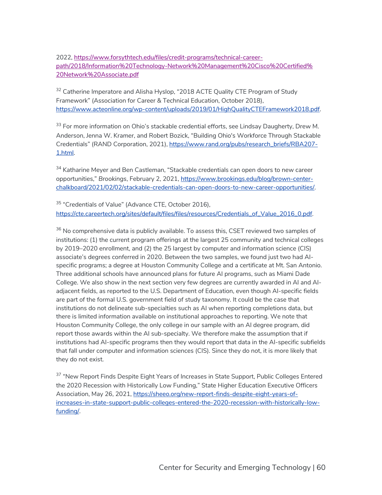2022, [https://www.forsythtech.edu/files/credit-programs/technical-career](https://www.forsythtech.edu/files/credit-programs/technical-career-path/2018/Information%20Technology-Network%20Management%20Cisco%20Certified%20Network%20Associate.pdf)[path/2018/Information%20Technology-Network%20Management%20Cisco%20Certified%](https://www.forsythtech.edu/files/credit-programs/technical-career-path/2018/Information%20Technology-Network%20Management%20Cisco%20Certified%20Network%20Associate.pdf) [20Network%20Associate.pdf](https://www.forsythtech.edu/files/credit-programs/technical-career-path/2018/Information%20Technology-Network%20Management%20Cisco%20Certified%20Network%20Associate.pdf)

 $32$  Catherine Imperatore and Alisha Hyslop, "2018 ACTE Quality CTE Program of Study Framework" (Association for Career & Technical Education, October 2018), https://www.acteonline.org/wp-content/uploads/2019/01/HighQualityCTEFramework2018.pdf.

<sup>33</sup> For more information on Ohio's stackable credential efforts, see Lindsay Daugherty, Drew M. Anderson, Jenna W. Kramer, and Robert Bozick, "Building Ohio's Workforce Through Stackable Credentials" (RAND Corporation, 2021), https://www.rand.org/pubs/research\_briefs/RBA207- 1.html.

<sup>34</sup> Katharine Meyer and Ben Castleman, "Stackable credentials can open doors to new career opportunities," *Brookings*, February 2, 2021, https://www.brookings.edu/blog/brown-centerchalkboard/2021/02/02/stackable-credentials-can-open-doors-to-new-career-opportunities/.

<sup>35</sup> "Credentials of Value" (Advance CTE, October 2016), https://cte.careertech.org/sites/default/files/files/resources/Credentials\_of\_Value\_2016\_0.pdf.

<sup>36</sup> No comprehensive data is publicly available. To assess this, CSET reviewed two samples of institutions: (1) the current program offerings at the largest 25 community and technical colleges by 2019–2020 enrollment, and (2) the 25 largest by computer and information science (CIS) associate's degrees conferred in 2020. Between the two samples, we found just two had AIspecific programs; a degree at Houston Community College and a certificate at Mt. San Antonio. Three additional schools have announced plans for future AI programs, such as Miami Dade College. We also show in the next section very few degrees are currently awarded in AI and AIadjacent fields, as reported to the U.S. Department of Education, even though AI-specific fields are part of the formal U.S. government field of study taxonomy. It could be the case that institutions do not delineate sub-specialties such as AI when reporting completions data, but there is limited information available on institutional approaches to reporting. We note that Houston Community College, the only college in our sample with an AI degree program, did report those awards within the AI sub-specialty. We therefore make the assumption that if institutions had AI-specific programs then they would report that data in the AI-specific subfields that fall under computer and information sciences (CIS). Since they do not, it is more likely that they do not exist.

<sup>37</sup> "New Report Finds Despite Eight Years of Increases in State Support, Public Colleges Entered the 2020 Recession with Historically Low Funding," State Higher Education Executive Officers Association, May 26, 2021, [https://sheeo.org/new-report-finds-despite-eight-years-of](https://sheeo.org/new-report-finds-despite-eight-years-of-increases-in-state-support-public-colleges-entered-the-2020-recession-with-historically-low-funding/)[increases-in-state-support-public-colleges-entered-the-2020-recession-with-historically-low](https://sheeo.org/new-report-finds-despite-eight-years-of-increases-in-state-support-public-colleges-entered-the-2020-recession-with-historically-low-funding/)[funding/.](https://sheeo.org/new-report-finds-despite-eight-years-of-increases-in-state-support-public-colleges-entered-the-2020-recession-with-historically-low-funding/)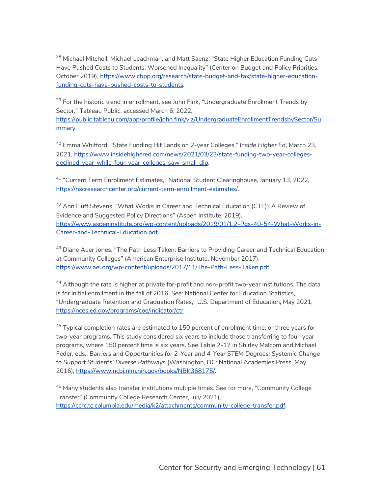<sup>38</sup> Michael Mitchell, Michael Leachman, and Matt Saenz, "State Higher Education Funding Cuts Have Pushed Costs to Students, Worsened Inequality" (Center on Budget and Policy Priorities, October 2019), https://www.cbpp.org/research/state-budget-and-tax/state-higher-educationfunding-cuts-have-pushed-costs-to-students.

<sup>39</sup> For the historic trend in enrollment, see John Fink, "Undergraduate Enrollment Trends by Sector," Tableau Public, accessed March 6, 2022,

[https://public.tableau.com/app/profile/john.fink/viz/UndergraduateEnrollmentTrendsbySector/Su](https://public.tableau.com/app/profile/john.fink/viz/UndergraduateEnrollmentTrendsbySector/Summary) [mmary.](https://public.tableau.com/app/profile/john.fink/viz/UndergraduateEnrollmentTrendsbySector/Summary)

<sup>40</sup> Emma Whitford, "State Funding Hit Lands on 2-year Colleges," *Inside Higher Ed*, March 23, 2021, https://www.insidehighered.com/news/2021/03/23/state-funding-two-year-collegesdeclined-year-while-four-year-colleges-saw-small-dip.

<sup>41</sup> "Current Term Enrollment Estimates," National Student Clearinghouse, January 13, 2022, https://nscresearchcenter.org/current-term-enrollment-estimates/.

<sup>42</sup> Ann Huff Stevens, "What Works in Career and Technical Education (CTE)? A Review of Evidence and Suggested Policy Directions" (Aspen Institute, 2019), https://www.aspeninstitute.org/wp-content/uploads/2019/01/1.2-Pgs-40-54-What-Works-in-Career-and-Technical-Education.pdf.

<sup>43</sup> Diane Auer Jones, "The Path Less Taken: Barriers to Providing Career and Technical Education at Community Colleges" (American Enterprise Institute, November 2017), https://www.aei.org/wp-content/uploads/2017/11/The-Path-Less-Taken.pdf.

44 Although the rate is higher at private for-profit and non-profit two-year institutions. The data is for initial enrollment in the fall of 2016. See: National Center for Education Statistics, "Undergraduate Retention and Graduation Rates," U.S. Department of Education, May 2021, https://nces.ed.gov/programs/coe/indicator/ctr.

 $45$  Typical completion rates are estimated to 150 percent of enrollment time, or three years for two-year programs. This study considered six years to include those transferring to four-year programs, where 150 percent time is six years. See Table 2-12 in Shirley Malcom and Michael Feder, eds., *Barriers and Opportunities for 2-Year and 4-Year STEM Degrees: Systemic Change to Support Students' Diverse Pathways* (Washington, DC: National Academies Press, May 2016), https://www.ncbi.nlm.nih.gov/books/NBK368175/.

<sup>46</sup> Many students also transfer institutions multiple times. See for more, "Community College Transfer" (Community College Research Center, July 2021), https://ccrc.tc.columbia.edu/media/k2/attachments/community-college-transfer.pdf.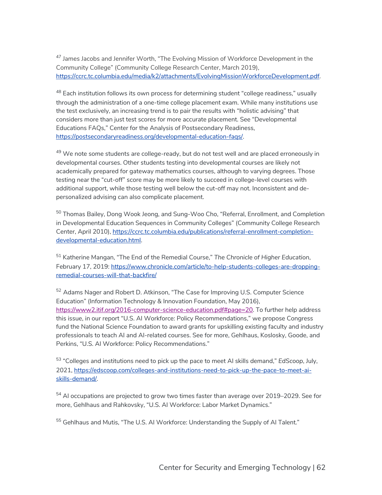<sup>47</sup> James Jacobs and Jennifer Worth, "The Evolving Mission of Workforce Development in the Community College" (Community College Research Center, March 2019), https://ccrc.tc.columbia.edu/media/k2/attachments/EvolvingMissionWorkforceDevelopment.pdf.

 $^{48}$  Each institution follows its own process for determining student "college readiness," usually through the administration of a one-time college placement exam. While many institutions use the test exclusively, an increasing trend is to pair the results with "holistic advising" that considers more than just test scores for more accurate placement. See "Developmental Educations FAQs," Center for the Analysis of Postsecondary Readiness, https://postsecondaryreadiness.org/developmental-education-faqs/.

 $49$  We note some students are college-ready, but do not test well and are placed erroneously in developmental courses. Other students testing into developmental courses are likely not academically prepared for gateway mathematics courses, although to varying degrees. Those testing near the "cut-off" score may be more likely to succeed in college-level courses with additional support, while those testing well below the cut-off may not. Inconsistent and depersonalized advising can also complicate placement.

<sup>50</sup> Thomas Bailey, Dong Wook Jeong, and Sung-Woo Cho, "Referral, Enrollment, and Completion in Developmental Education Sequences in Community Colleges" (Community College Research Center, April 2010), https://ccrc.tc.columbia.edu/publications/referral-enrollment-completiondevelopmental-education.html.

<sup>51</sup> Katherine Mangan, "The End of the Remedial Course," *The Chronicle of Higher Education*, February 17, 2019: https://www.chronicle.com/article/to-help-students-colleges-are-droppingremedial-courses-will-that-backfire/

<sup>52</sup> Adams Nager and Robert D. Atkinson, "The Case for Improving U.S. Computer Science Education" (Information Technology & Innovation Foundation, May 2016), https://www2.itif.org/2016-computer-science-education.pdf#page=20. To further help address this issue, in our report "U.S. AI Workforce: Policy Recommendations," we propose Congress fund the National Science Foundation to award grants for upskilling existing faculty and industry professionals to teach AI and AI-related courses. See for more, Gehlhaus, Koslosky, Goode, and Perkins, "U.S. AI Workforce: Policy Recommendations."

<sup>53</sup> "Colleges and institutions need to pick up the pace to meet AI skills demand," *EdScoop*, July, 2021, https://edscoop.com/colleges-and-institutions-need-to-pick-up-the-pace-to-meet-aiskills-demand/.

 $54$  AI occupations are projected to grow two times faster than average over 2019–2029. See for more, Gehlhaus and Rahkovsky, "U.S. AI Workforce: Labor Market Dynamics."

<sup>55</sup> Gehlhaus and Mutis, "The U.S. AI Workforce: Understanding the Supply of AI Talent."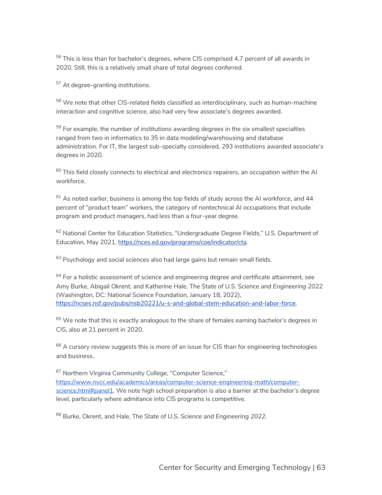$56$  This is less than for bachelor's degrees, where CIS comprised 4.7 percent of all awards in 2020. Still, this is a relatively small share of total degrees conferred.

<sup>57</sup> At degree-granting institutions.

 $58$  We note that other CIS-related fields classified as interdisciplinary, such as human-machine interaction and cognitive science, also had very few associate's degrees awarded.

 $59$  For example, the number of institutions awarding degrees in the six smallest specialties ranged from two in informatics to 35 in data modeling/warehousing and database administration. For IT, the largest sub-specialty considered, 293 institutions awarded associate's degrees in 2020.

 $60$  This field closely connects to electrical and electronics repairers, an occupation within the AI workforce.

 $61$  As noted earlier, business is among the top fields of study across the AI workforce, and 44 percent of "product team" workers, the category of nontechnical AI occupations that include program and product managers, had less than a four-year degree.

 $62$  National Center for Education Statistics, "Undergraduate Degree Fields," U.S. Department of Education, May 2021, https://nces.ed.gov/programs/coe/indicator/cta.

 $63$  Psychology and social sciences also had large gains but remain small fields.

 $64$  For a holistic assessment of science and engineering degree and certificate attainment, see Amy Burke, Abigail Okrent, and Katherine Hale, T*he State of U.S. Science and Engineering 2022* (Washington, DC: National Science Foundation, January 18, 2022), https://ncses.nsf.gov/pubs/nsb20221/u-s-and-global-stem-education-and-labor-force.

 $65$  We note that this is exactly analogous to the share of females earning bachelor's degrees in CIS, also at 21 percent in 2020.

 $66$  A cursory review suggests this is more of an issue for CIS than for engineering technologies and business.

<sup>67</sup> Northern Virginia Community College, "Computer Science," https://www.nvcc.edu/academics/areas/computer-science-engineering-math/computerscience.html#panel1. We note high school preparation is also a barrier at the bachelor's degree level, particularly where admitance into CIS programs is competitive.

<sup>68</sup> Burke, Okrent, and Hale, T*he State of U.S. Science and Engineering 2022*.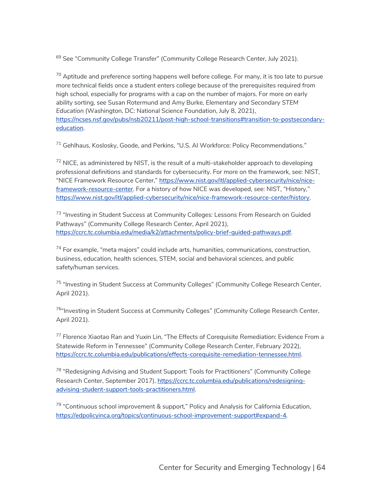<sup>69</sup> See "Community College Transfer" (Community College Research Center, July 2021).

 $70$  Aptitude and preference sorting happens well before college. For many, it is too late to pursue more technical fields once a student enters college because of the prerequisites required from high school, especially for programs with a cap on the number of majors. For more on early ability sorting, see Susan Rotermund and Amy Burke, *Elementary and Secondary STEM Education* (Washington, DC: National Science Foundation, July 8, 2021), https://ncses.nsf.gov/pubs/nsb20211/post-high-school-transitions#transition-to-postsecondaryeducation.

<sup>71</sup> Gehlhaus, Koslosky, Goode, and Perkins, "U.S. AI Workforce: Policy Recommendations."

 $<sup>72</sup>$  NICE, as administered by NIST, is the result of a multi-stakeholder approach to developing</sup> professional definitions and standards for cybersecurity. For more on the framework, see: NIST, "NICE Framework Resource Center," https://www.nist.gov/itl/applied-cybersecurity/nice/niceframework-resource-center. For a history of how NICE was developed, see: NIST, "History," https://www.nist.gov/itl/applied-cybersecurity/nice/nice-framework-resource-center/history.

<sup>73</sup> "Investing in Student Success at Community Colleges: Lessons From Research on Guided Pathways" (Community College Research Center, April 2021), https://ccrc.tc.columbia.edu/media/k2/attachments/policy-brief-guided-pathways.pdf.

 $74$  For example, "meta majors" could include arts, humanities, communications, construction, business, education, health sciences, STEM, social and behavioral sciences, and public safety/human services.

<sup>75</sup> "Investing in Student Success at Community Colleges" (Community College Research Center, April 2021).

<sup>76</sup>"Investing in Student Success at Community Colleges" (Community College Research Center, April 2021).

<sup>77</sup> Florence Xiaotao Ran and Yuxin Lin, "The Effects of Corequisite Remediation: Evidence From a Statewide Reform in Tennessee" (Community College Research Center, February 2022), https://ccrc.tc.columbia.edu/publications/effects-corequisite-remediation-tennessee.html.

<sup>78</sup> "Redesigning Advising and Student Support: Tools for Practitioners" (Community College Research Center, September 2017), https://ccrc.tc.columbia.edu/publications/redesigningadvising-student-support-tools-practitioners.html.

<sup>79</sup> "Continuous school improvement & support," Policy and Analysis for California Education, https://edpolicyinca.org/topics/continuous-school-improvement-support#expand-4.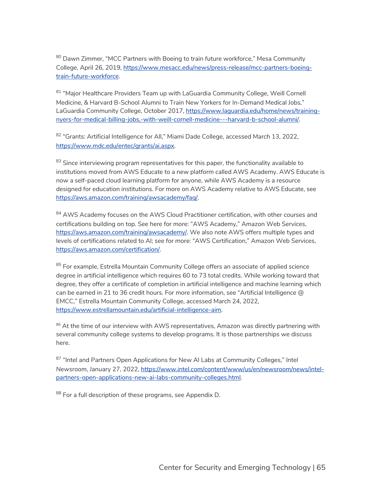$80$  Dawn Zimmer, "MCC Partners with Boeing to train future workforce," Mesa Community College, April 26, 2019, https://www.mesacc.edu/news/press-release/mcc-partners-boeingtrain-future-workforce.

<sup>81</sup> "Major Healthcare Providers Team up with LaGuardia Community College, Weill Cornell Medicine, & Harvard B-School Alumni to Train New Yorkers for In-Demand Medical Jobs," LaGuardia Community College, October 2017, https://www.laguardia.edu/home/news/trainingnyers-for-medical-billing-jobs,-with-weill-cornell-medicine---harvard-b-school-alumni/.

<sup>82</sup> "Grants: Artificial Intelligence for All," Miami Dade College, accessed March 13, 2022, https://www.mdc.edu/entec/grants/ai.aspx.

<sup>83</sup> Since interviewing program representatives for this paper, the functionality available to institutions moved from AWS Educate to a new platform called AWS Academy. AWS Educate is now a self-paced cloud learning platform for anyone, while AWS Academy is a resource designed for education institutions. For more on AWS Academy relative to AWS Educate, see https://aws.amazon.com/training/awsacademy/faq/.

<sup>84</sup> AWS Academy focuses on the AWS Cloud Practitioner certification, with other courses and certifications building on top. See here for more: "AWS Academy," Amazon Web Services, https://aws.amazon.com/training/awsacademy/. We also note AWS offers multiple types and levels of certifications related to AI; see for more: "AWS Certification," Amazon Web Services, https://aws.amazon.com/certification/.

<sup>85</sup> For example, Estrella Mountain Community College offers an associate of applied science degree in artificial intelligence which requires 60 to 73 total credits. While working toward that degree, they offer a certificate of completion in artificial intelligence and machine learning which can be earned in 21 to 36 credit hours. For more information, see "Artificial Intelligence @ EMCC," Estrella Mountain Community College, accessed March 24, 2022, https://www.estrellamountain.edu/artificial-intelligence-aim.

 $86$  At the time of our interview with AWS representatives, Amazon was directly partnering with several community college systems to develop programs. It is those partnerships we discuss here.

<sup>87</sup> "Intel and Partners Open Applications for New AI Labs at Community Colleges," *Intel Newsroom*, January 27, 2022, https://www.intel.com/content/www/us/en/newsroom/news/intelpartners-open-applications-new-ai-labs-community-colleges.html.

88 For a full description of these programs, see Appendix D.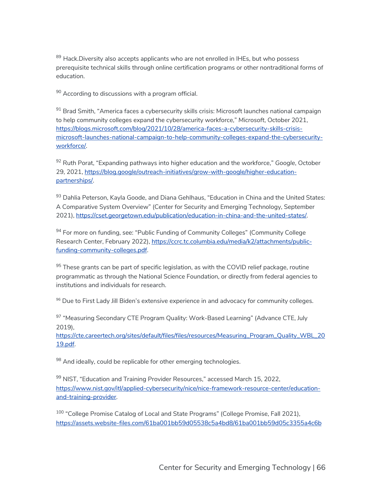<sup>89</sup> Hack.Diversity also accepts applicants who are not enrolled in IHEs, but who possess prerequisite technical skills through online certification programs or other nontraditional forms of education.

 $90$  According to discussions with a program official.

<sup>91</sup> Brad Smith, "America faces a cybersecurity skills crisis: Microsoft launches national campaign to help community colleges expand the cybersecurity workforce," *Microsoft*, October 2021, https://blogs.microsoft.com/blog/2021/10/28/america-faces-a-cybersecurity-skills-crisis[microsoft-launches-national-campaign-to-help-community-colleges-expand-the-cybersecurity](https://blogs.microsoft.com/blog/2021/10/28/america-faces-a-cybersecurity-skills-crisis-microsoft-launches-national-campaign-to-help-community-colleges-expand-the-cybersecurity-workforce/)[workforce/](https://blogs.microsoft.com/blog/2021/10/28/america-faces-a-cybersecurity-skills-crisis-microsoft-launches-national-campaign-to-help-community-colleges-expand-the-cybersecurity-workforce/).

<sup>92</sup> Ruth Porat, "Expanding pathways into higher education and the workforce," *Google*, October 29, 2021, [https://blog.google/outreach-initiatives/grow-with-google/higher-education](https://blog.google/outreach-initiatives/grow-with-google/higher-education-partnerships/)[partnerships/.](https://blog.google/outreach-initiatives/grow-with-google/higher-education-partnerships/)

93 Dahlia Peterson, Kayla Goode, and Diana Gehlhaus, "Education in China and the United States: A Comparative System Overview" (Center for Security and Emerging Technology, September 2021), https://cset.georgetown.edu/publication/education-in-china-and-the-united-states/.

<sup>94</sup> For more on funding, see: "Public Funding of Community Colleges" (Community College Research Center, February 2022), https://ccrc.tc.columbia.edu/media/k2/attachments/publicfunding-community-colleges.pdf.

 $95$  These grants can be part of specific legislation, as with the COVID relief package, routine programmatic as through the National Science Foundation, or directly from federal agencies to institutions and individuals for research.

96 Due to First Lady Jill Biden's extensive experience in and advocacy for community colleges.

97 "Measuring Secondary CTE Program Quality: Work-Based Learning" (Advance CTE, July 2019),

[https://cte.careertech.org/sites/default/files/files/resources/Measuring\\_Program\\_Quality\\_WBL\\_20](https://cte.careertech.org/sites/default/files/files/resources/Measuring_Program_Quality_WBL_2019.pdf) [19.pdf.](https://cte.careertech.org/sites/default/files/files/resources/Measuring_Program_Quality_WBL_2019.pdf)

98 And ideally, could be replicable for other emerging technologies.

<sup>99</sup> NIST, "Education and Training Provider Resources," accessed March 15, 2022, https://www.nist.gov/itl/applied-cybersecurity/nice/nice-framework-resource-center/educationand-training-provider.

<sup>100</sup> "College Promise Catalog of Local and State Programs" (College Promise, Fall 2021), [https://assets.website-files.com/61ba001bb59d05538c5a4bd8/61ba001bb59d05c3355a4c6b](https://assets.website-files.com/61ba001bb59d05538c5a4bd8/61ba001bb59d05c3355a4c6b_College%20Promise%20Catalog%20Fall%202021_Final-min.pdf)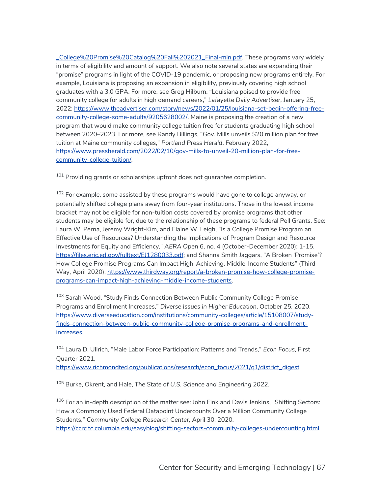[\\_College%20Promise%20Catalog%20Fall%202021\\_Final-min.pdf.](https://assets.website-files.com/61ba001bb59d05538c5a4bd8/61ba001bb59d05c3355a4c6b_College%20Promise%20Catalog%20Fall%202021_Final-min.pdf) These programs vary widely in terms of eligibility and amount of support. We also note several states are expanding their "promise" programs in light of the COVID-19 pandemic, or proposing new programs entirely. For example, Louisiana is proposing an expansion in eligibility, previously covering high school graduates with a 3.0 GPA. For more, see Greg Hilburn, "Louisiana poised to provide free community college for adults in high demand careers," *Lafayette Daily Advertiser*, January 25, 2022: https://www.theadvertiser.com/story/news/2022/01/25/louisiana-set-begin-offering-freecommunity-college-some-adults/9205628002/. Maine is proposing the creation of a new program that would make community college tuition free for students graduating high school between 2020–2023. For more, see Randy Billings, "Gov. Mills unveils \$20 million plan for free tuition at Maine community colleges," *Portland Press Herald*, February 2022, https://www.pressherald.com/2022/02/10/gov-mills-to-unveil-20-million-plan-for-freecommunity-college-tuition/.

 $101$  Providing grants or scholarships upfront does not guarantee completion.

 $102$  For example, some assisted by these programs would have gone to college anyway, or potentially shifted college plans away from four-year institutions. Those in the lowest income bracket may not be eligible for non-tuition costs covered by promise programs that other students may be eligible for, due to the relationship of these programs to federal Pell Grants. See: Laura W. Perna, Jeremy Wright-Kim, and Elaine W. Leigh, "Is a College Promise Program an Effective Use of Resources? Understanding the Implications of Program Design and Resource Investments for Equity and Efficiency," *AERA Open* 6, no. 4 (October-December 2020): 1-15, https://files.eric.ed.gov/fulltext/EJ1280033.pdf; and Shanna Smith Jaggars, "A Broken 'Promise'? How College Promise Programs Can Impact High-Achieving, Middle-Income Students" (Third Way, April 2020), https://www.thirdway.org/report/a-broken-promise-how-college-promiseprograms-can-impact-high-achieving-middle-income-students.

<sup>103</sup> Sarah Wood, "Study Finds Connection Between Public Community College Promise Programs and Enrollment Increases," *Diverse Issues in Higher Education*, October 25, 2020, https://www.diverseeducation.com/institutions/community-colleges/article/15108007/studyfinds-connection-between-public-community-college-promise-programs-and-enrollmentincreases.

<sup>104</sup> Laura D. Ullrich, "Male Labor Force Participation: Patterns and Trends," *Econ Focus*, First Quarter 2021,

https://www.richmondfed.org/publications/research/econ\_focus/2021/q1/district\_digest.

<sup>105</sup> Burke, Okrent, and Hale, *The State of U.S. Science and Engineering 2022*.

 $106$  For an in-depth description of the matter see: John Fink and Davis Jenkins, "Shifting Sectors: How a Commonly Used Federal Datapoint Undercounts Over a Million Community College Students," *Community College Research Center*, April 30, 2020, https://ccrc.tc.columbia.edu/easyblog/shifting-sectors-community-colleges-undercounting.html.